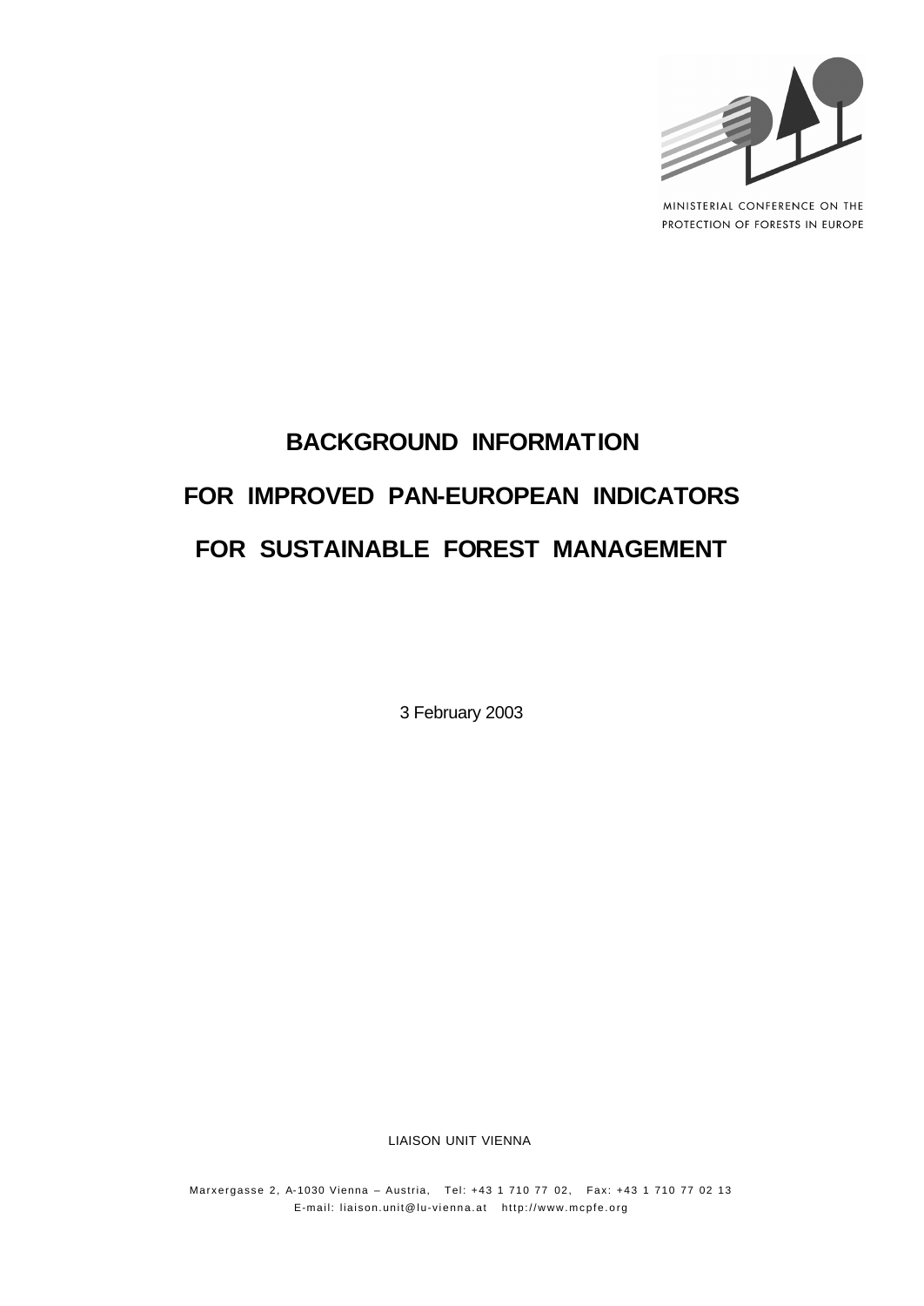

MINISTERIAL CONFERENCE ON THE PROTECTION OF FORESTS IN EUROPE

# **BACKGROUND INFORMATION FOR IMPROVED PAN-EUROPEAN INDICATORS FOR SUSTAINABLE FOREST MANAGEMENT**

3 February 2003

LIAISON UNIT VIENNA

Marxergasse 2, A-1030 Vienna – Austria, Tel: +43 1 710 77 02, Fax: +43 1 710 77 02 13 E-mail: liaison.unit@lu-vienna.at http://www.mcpfe.org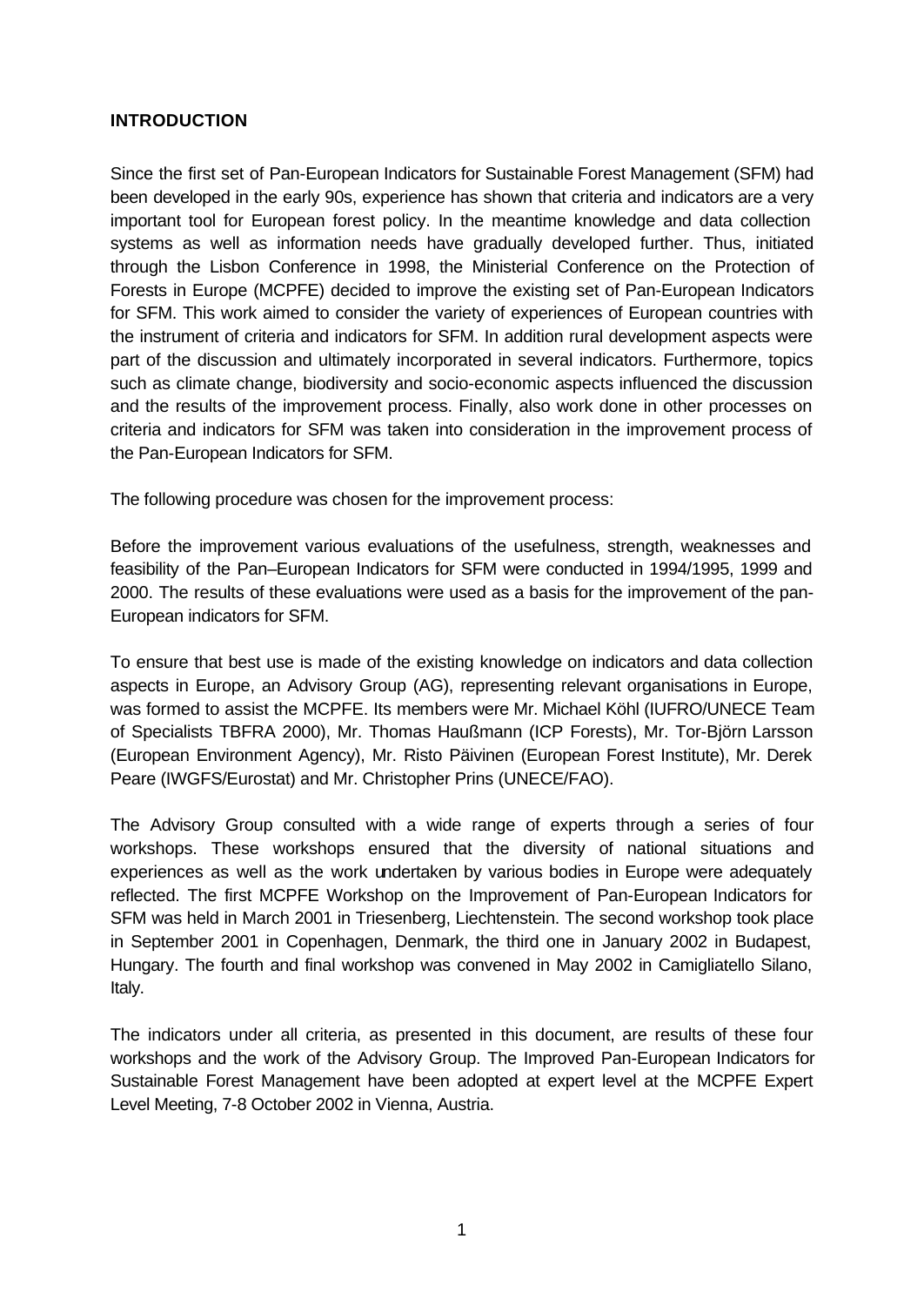# **INTRODUCTION**

Since the first set of Pan-European Indicators for Sustainable Forest Management (SFM) had been developed in the early 90s, experience has shown that criteria and indicators are a very important tool for European forest policy. In the meantime knowledge and data collection systems as well as information needs have gradually developed further. Thus, initiated through the Lisbon Conference in 1998, the Ministerial Conference on the Protection of Forests in Europe (MCPFE) decided to improve the existing set of Pan-European Indicators for SFM. This work aimed to consider the variety of experiences of European countries with the instrument of criteria and indicators for SFM. In addition rural development aspects were part of the discussion and ultimately incorporated in several indicators. Furthermore, topics such as climate change, biodiversity and socio-economic aspects influenced the discussion and the results of the improvement process. Finally, also work done in other processes on criteria and indicators for SFM was taken into consideration in the improvement process of the Pan-European Indicators for SFM.

The following procedure was chosen for the improvement process:

Before the improvement various evaluations of the usefulness, strength, weaknesses and feasibility of the Pan–European Indicators for SFM were conducted in 1994/1995, 1999 and 2000. The results of these evaluations were used as a basis for the improvement of the pan-European indicators for SFM.

To ensure that best use is made of the existing knowledge on indicators and data collection aspects in Europe, an Advisory Group (AG), representing relevant organisations in Europe, was formed to assist the MCPFE. Its members were Mr. Michael Köhl (IUFRO/UNECE Team of Specialists TBFRA 2000), Mr. Thomas Haußmann (ICP Forests), Mr. Tor-Björn Larsson (European Environment Agency), Mr. Risto Päivinen (European Forest Institute), Mr. Derek Peare (IWGFS/Eurostat) and Mr. Christopher Prins (UNECE/FAO).

The Advisory Group consulted with a wide range of experts through a series of four workshops. These workshops ensured that the diversity of national situations and experiences as well as the work undertaken by various bodies in Europe were adequately reflected. The first MCPFE Workshop on the Improvement of Pan-European Indicators for SFM was held in March 2001 in Triesenberg, Liechtenstein. The second workshop took place in September 2001 in Copenhagen, Denmark, the third one in January 2002 in Budapest, Hungary. The fourth and final workshop was convened in May 2002 in Camigliatello Silano, Italy.

The indicators under all criteria, as presented in this document, are results of these four workshops and the work of the Advisory Group. The Improved Pan-European Indicators for Sustainable Forest Management have been adopted at expert level at the MCPFE Expert Level Meeting, 7-8 October 2002 in Vienna, Austria.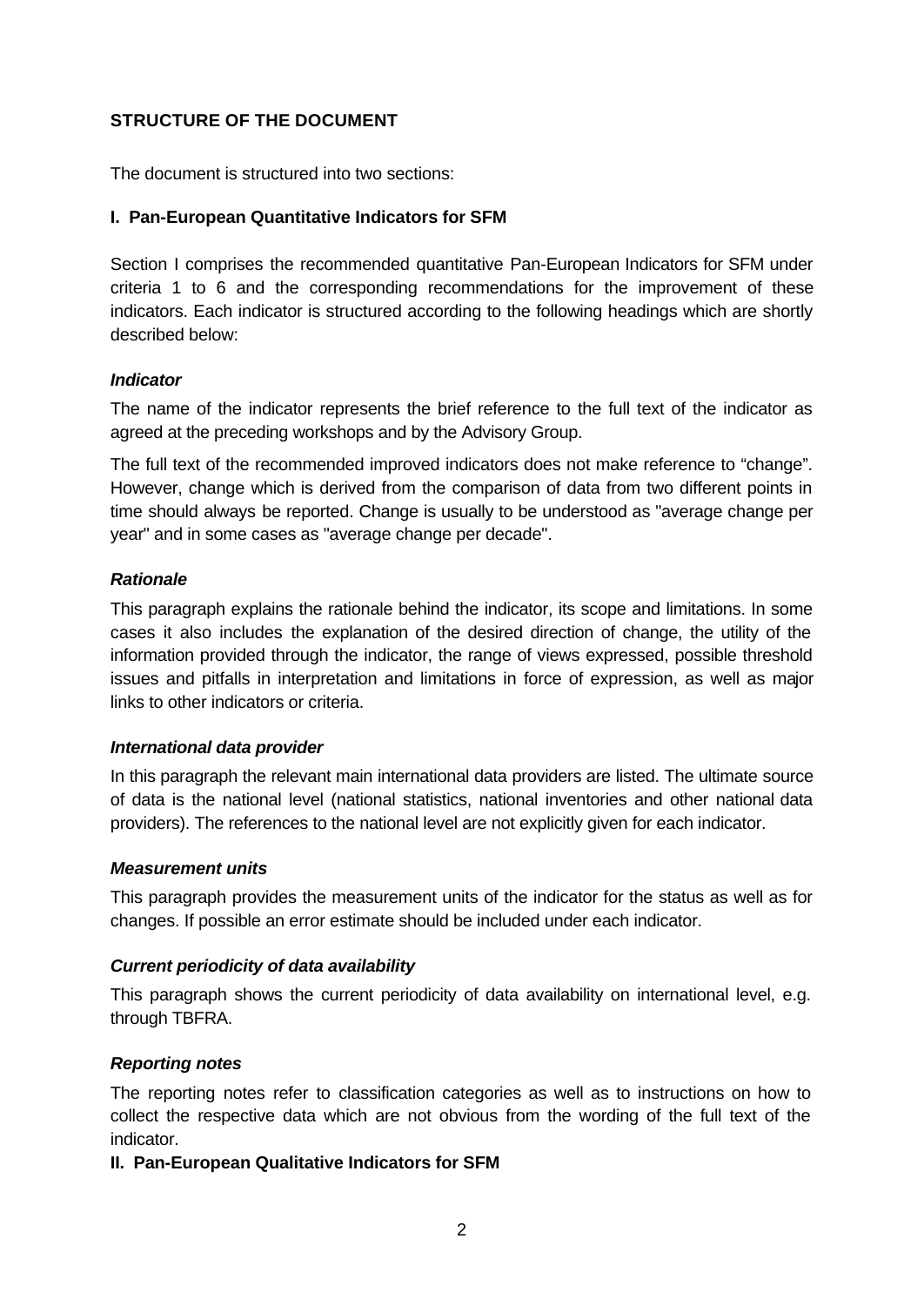# **STRUCTURE OF THE DOCUMENT**

The document is structured into two sections:

# **I. Pan-European Quantitative Indicators for SFM**

Section I comprises the recommended quantitative Pan-European Indicators for SFM under criteria 1 to 6 and the corresponding recommendations for the improvement of these indicators. Each indicator is structured according to the following headings which are shortly described below:

# *Indicator*

The name of the indicator represents the brief reference to the full text of the indicator as agreed at the preceding workshops and by the Advisory Group.

The full text of the recommended improved indicators does not make reference to "change". However, change which is derived from the comparison of data from two different points in time should always be reported. Change is usually to be understood as "average change per year" and in some cases as "average change per decade".

# *Rationale*

This paragraph explains the rationale behind the indicator, its scope and limitations. In some cases it also includes the explanation of the desired direction of change, the utility of the information provided through the indicator, the range of views expressed, possible threshold issues and pitfalls in interpretation and limitations in force of expression, as well as major links to other indicators or criteria.

# *International data provider*

In this paragraph the relevant main international data providers are listed. The ultimate source of data is the national level (national statistics, national inventories and other national data providers). The references to the national level are not explicitly given for each indicator.

# *Measurement units*

This paragraph provides the measurement units of the indicator for the status as well as for changes. If possible an error estimate should be included under each indicator.

# *Current periodicity of data availability*

This paragraph shows the current periodicity of data availability on international level, e.g. through TBFRA.

# *Reporting notes*

The reporting notes refer to classification categories as well as to instructions on how to collect the respective data which are not obvious from the wording of the full text of the indicator.

# **II. Pan-European Qualitative Indicators for SFM**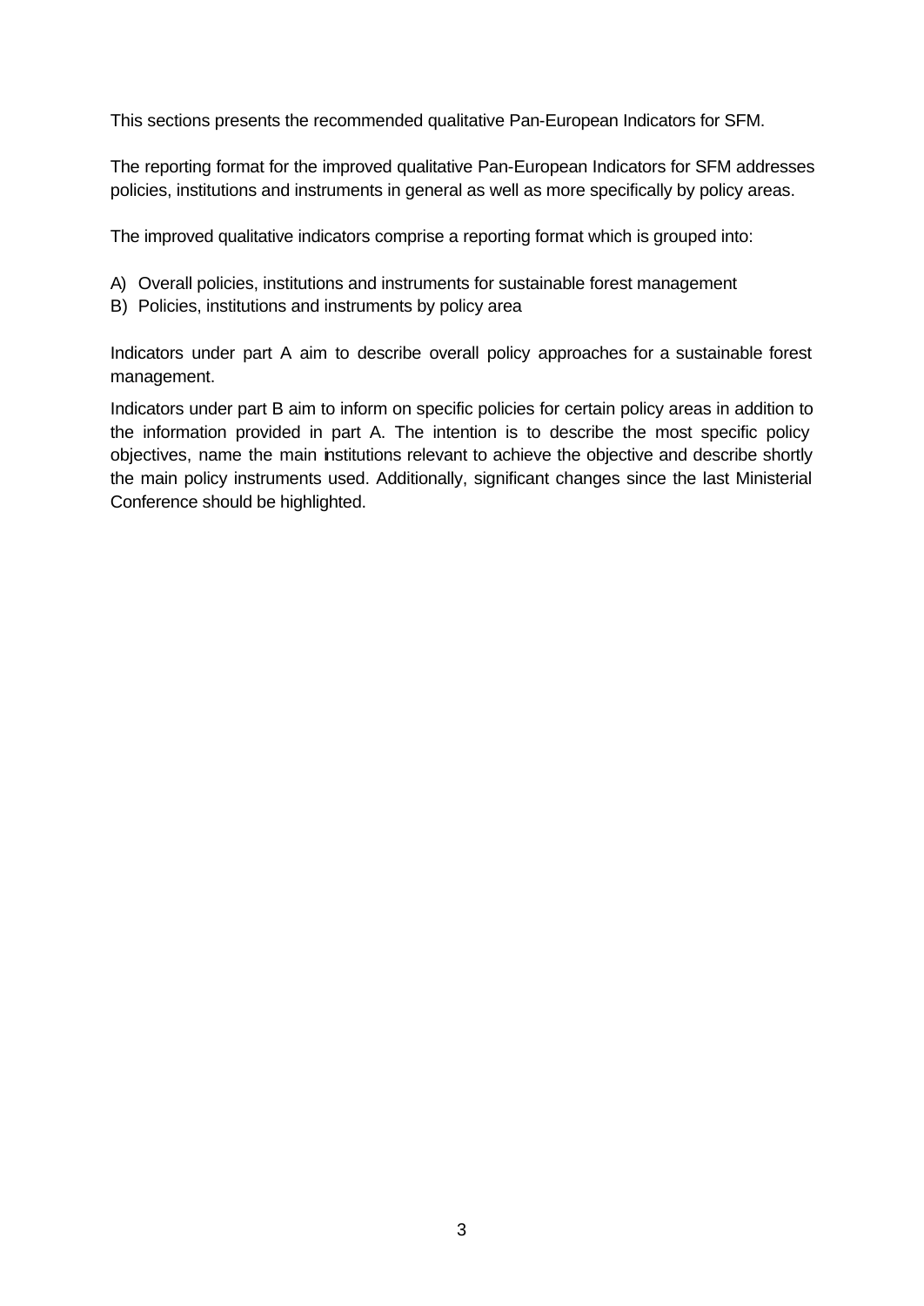This sections presents the recommended qualitative Pan-European Indicators for SFM.

The reporting format for the improved qualitative Pan-European Indicators for SFM addresses policies, institutions and instruments in general as well as more specifically by policy areas.

The improved qualitative indicators comprise a reporting format which is grouped into:

- A) Overall policies, institutions and instruments for sustainable forest management
- B) Policies, institutions and instruments by policy area

Indicators under part A aim to describe overall policy approaches for a sustainable forest management.

Indicators under part B aim to inform on specific policies for certain policy areas in addition to the information provided in part A. The intention is to describe the most specific policy objectives, name the main institutions relevant to achieve the objective and describe shortly the main policy instruments used. Additionally, significant changes since the last Ministerial Conference should be highlighted.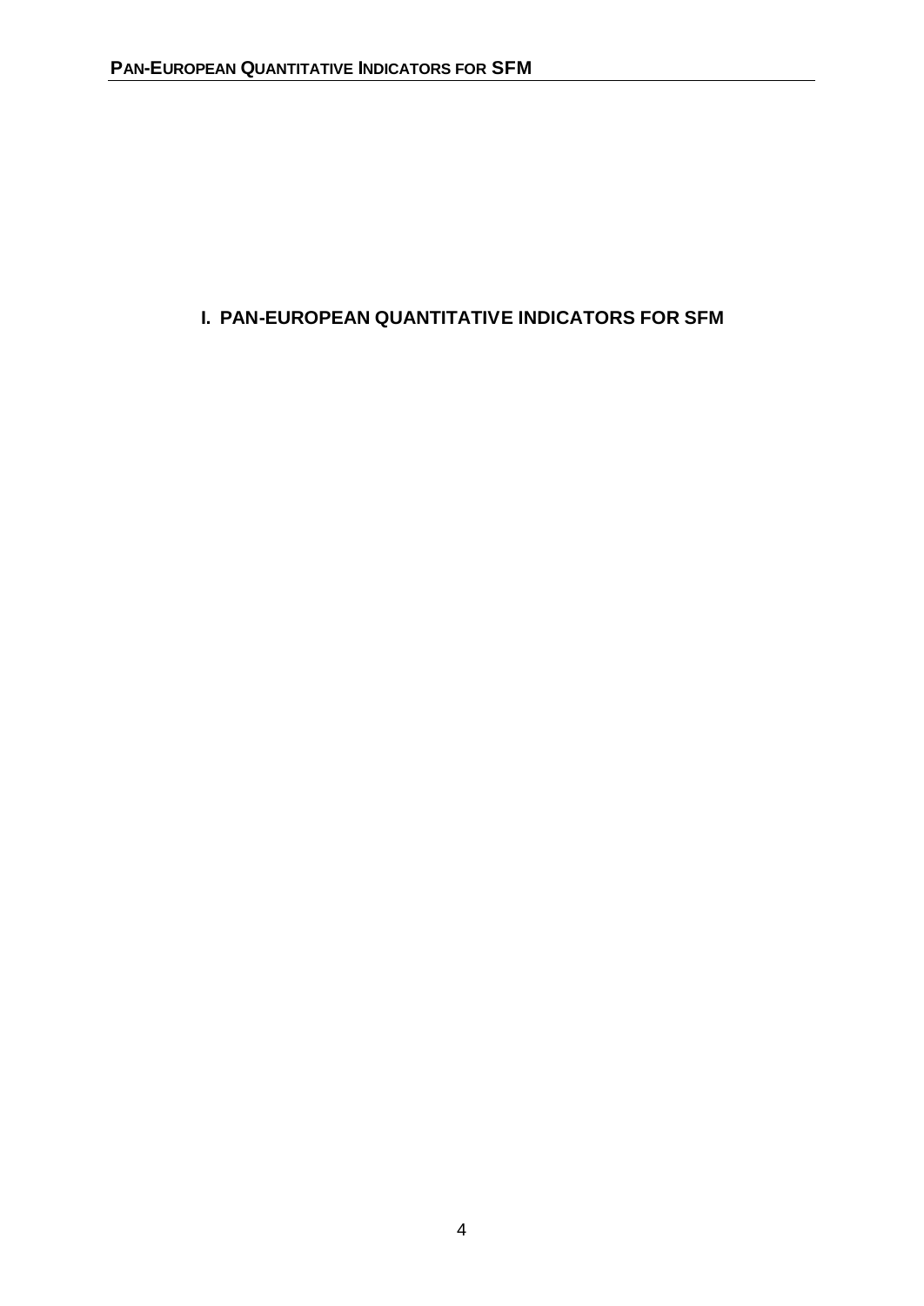# **I. PAN-EUROPEAN QUANTITATIVE INDICATORS FOR SFM**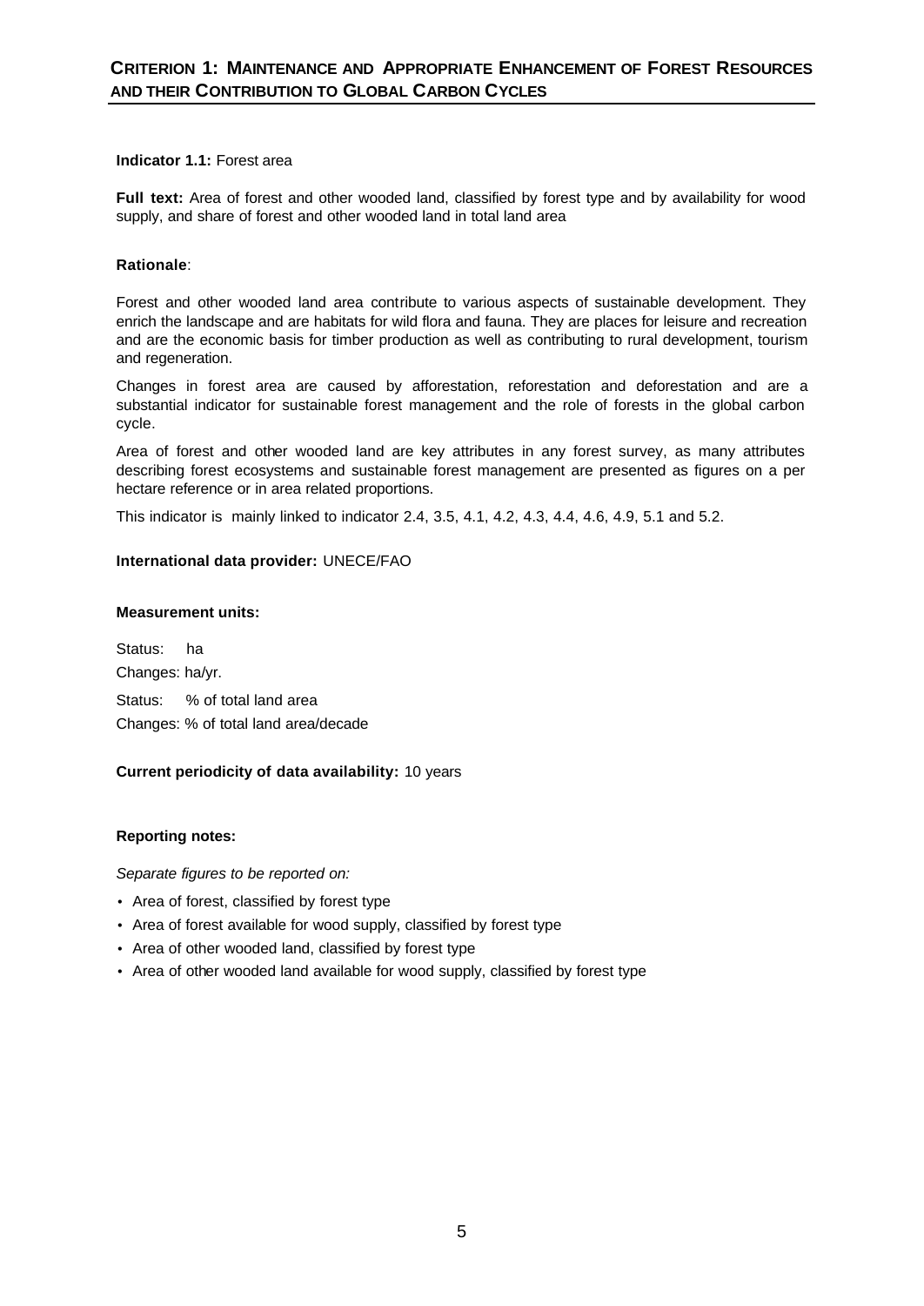# **Indicator 1.1:** Forest area

**Full text:** Area of forest and other wooded land, classified by forest type and by availability for wood supply, and share of forest and other wooded land in total land area

# **Rationale**:

Forest and other wooded land area contribute to various aspects of sustainable development. They enrich the landscape and are habitats for wild flora and fauna. They are places for leisure and recreation and are the economic basis for timber production as well as contributing to rural development, tourism and regeneration.

Changes in forest area are caused by afforestation, reforestation and deforestation and are a substantial indicator for sustainable forest management and the role of forests in the global carbon cycle.

Area of forest and other wooded land are key attributes in any forest survey, as many attributes describing forest ecosystems and sustainable forest management are presented as figures on a per hectare reference or in area related proportions.

This indicator is mainly linked to indicator 2.4, 3.5, 4.1, 4.2, 4.3, 4.4, 4.6, 4.9, 5.1 and 5.2.

# **International data provider:** UNECE/FAO

# **Measurement units:**

Status: ha Changes: ha/yr. Status: % of total land area Changes: % of total land area/decade

# **Current periodicity of data availability:** 10 years

# **Reporting notes:**

- Area of forest, classified by forest type
- Area of forest available for wood supply, classified by forest type
- Area of other wooded land, classified by forest type
- Area of other wooded land available for wood supply, classified by forest type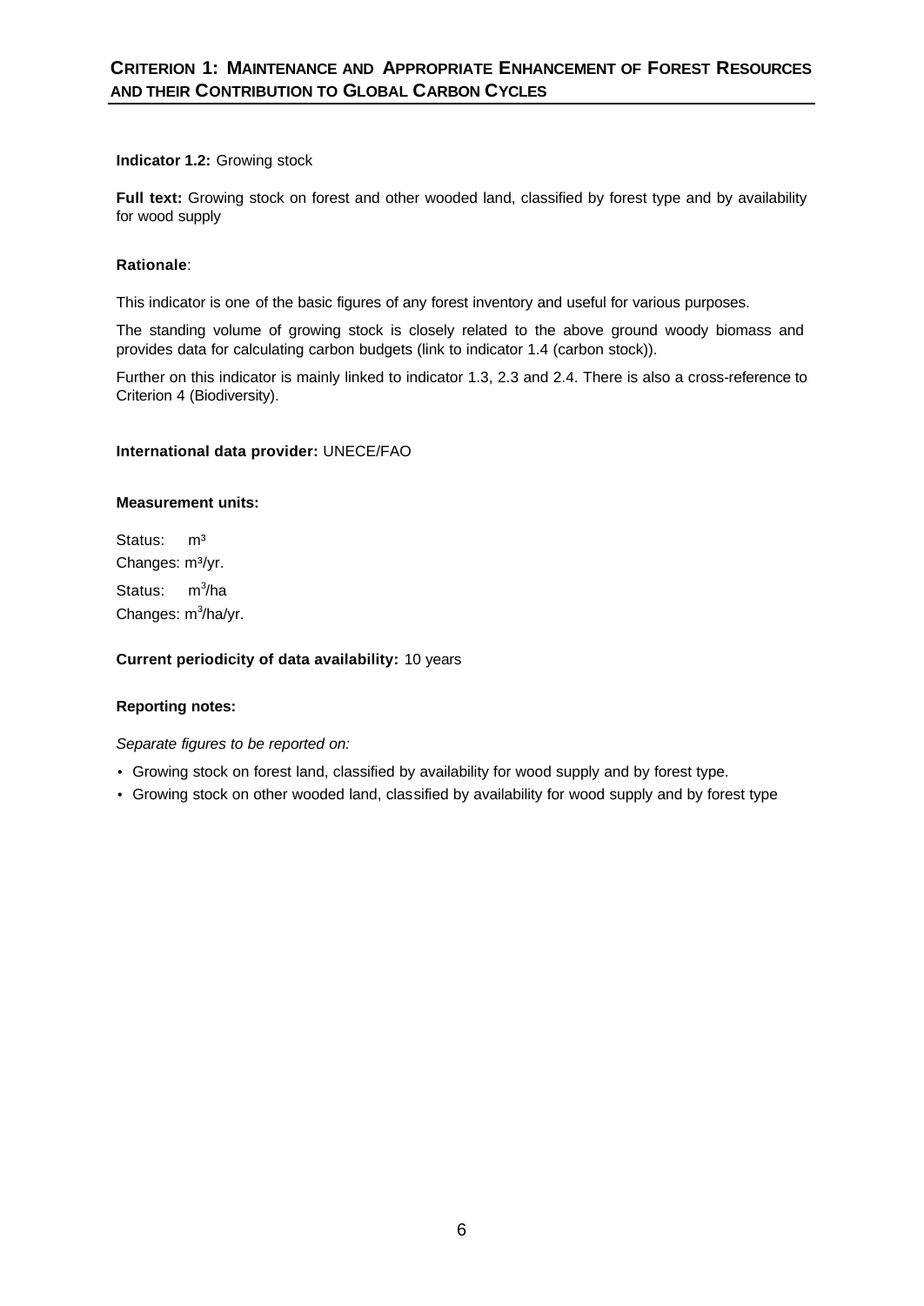# **Indicator 1.2:** Growing stock

Full text: Growing stock on forest and other wooded land, classified by forest type and by availability for wood supply

# **Rationale**:

This indicator is one of the basic figures of any forest inventory and useful for various purposes.

The standing volume of growing stock is closely related to the above ground woody biomass and provides data for calculating carbon budgets (link to indicator 1.4 (carbon stock)).

Further on this indicator is mainly linked to indicator 1.3, 2.3 and 2.4. There is also a cross-reference to Criterion 4 (Biodiversity).

# **International data provider:** UNECE/FAO

# **Measurement units:**

Status: m<sup>3</sup> Changes: m<sup>3</sup>/yr. Status:  $3/ha$ Changes: m<sup>3</sup>/ha/yr.

**Current periodicity of data availability:** 10 years

# **Reporting notes:**

- Growing stock on forest land, classified by availability for wood supply and by forest type.
- Growing stock on other wooded land, classified by availability for wood supply and by forest type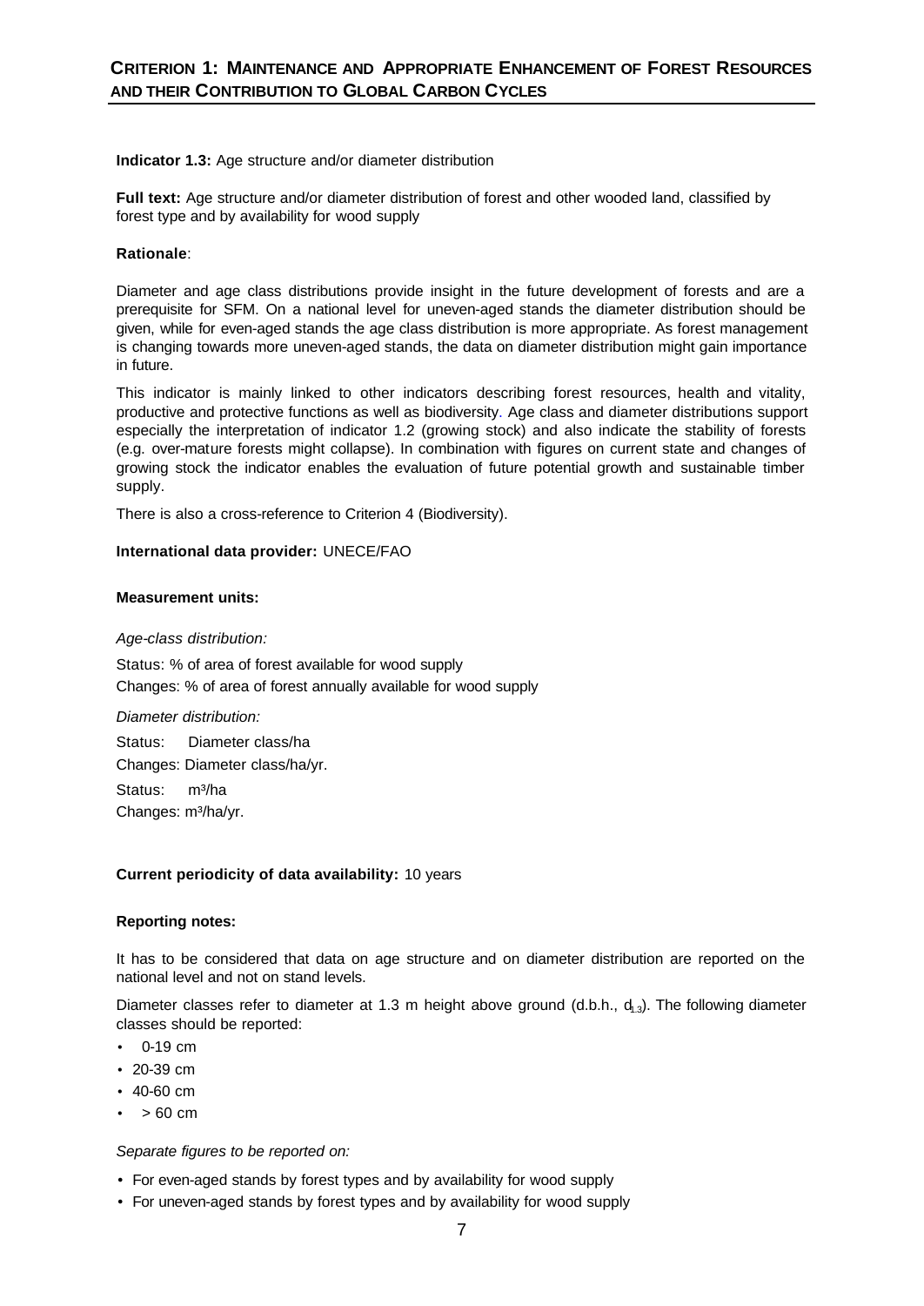**Indicator 1.3:** Age structure and/or diameter distribution

**Full text:** Age structure and/or diameter distribution of forest and other wooded land, classified by forest type and by availability for wood supply

# **Rationale**:

Diameter and age class distributions provide insight in the future development of forests and are a prerequisite for SFM. On a national level for uneven-aged stands the diameter distribution should be given, while for even-aged stands the age class distribution is more appropriate. As forest management is changing towards more uneven-aged stands, the data on diameter distribution might gain importance in future.

This indicator is mainly linked to other indicators describing forest resources, health and vitality, productive and protective functions as well as biodiversity. Age class and diameter distributions support especially the interpretation of indicator 1.2 (growing stock) and also indicate the stability of forests (e.g. over-mature forests might collapse). In combination with figures on current state and changes of growing stock the indicator enables the evaluation of future potential growth and sustainable timber supply.

There is also a cross-reference to Criterion 4 (Biodiversity).

# **International data provider:** UNECE/FAO

# **Measurement units:**

#### *Age-class distribution:*

Status: % of area of forest available for wood supply Changes: % of area of forest annually available for wood supply

*Diameter distribution:*  Status:Diameter class/ha Changes: Diameter class/ha/yr. Status: m<sup>3</sup>/ha Changes: m<sup>3</sup>/ha/yr.

# **Current periodicity of data availability:** 10 years

# **Reporting notes:**

It has to be considered that data on age structure and on diameter distribution are reported on the national level and not on stand levels.

Diameter classes refer to diameter at 1.3 m height above ground (d.b.h.,  $d_{13}$ ). The following diameter classes should be reported:

- $0 19$  cm
- 20-39 cm
- 40-60 cm
- $\bullet$  > 60 cm

- For even-aged stands by forest types and by availability for wood supply
- For uneven-aged stands by forest types and by availability for wood supply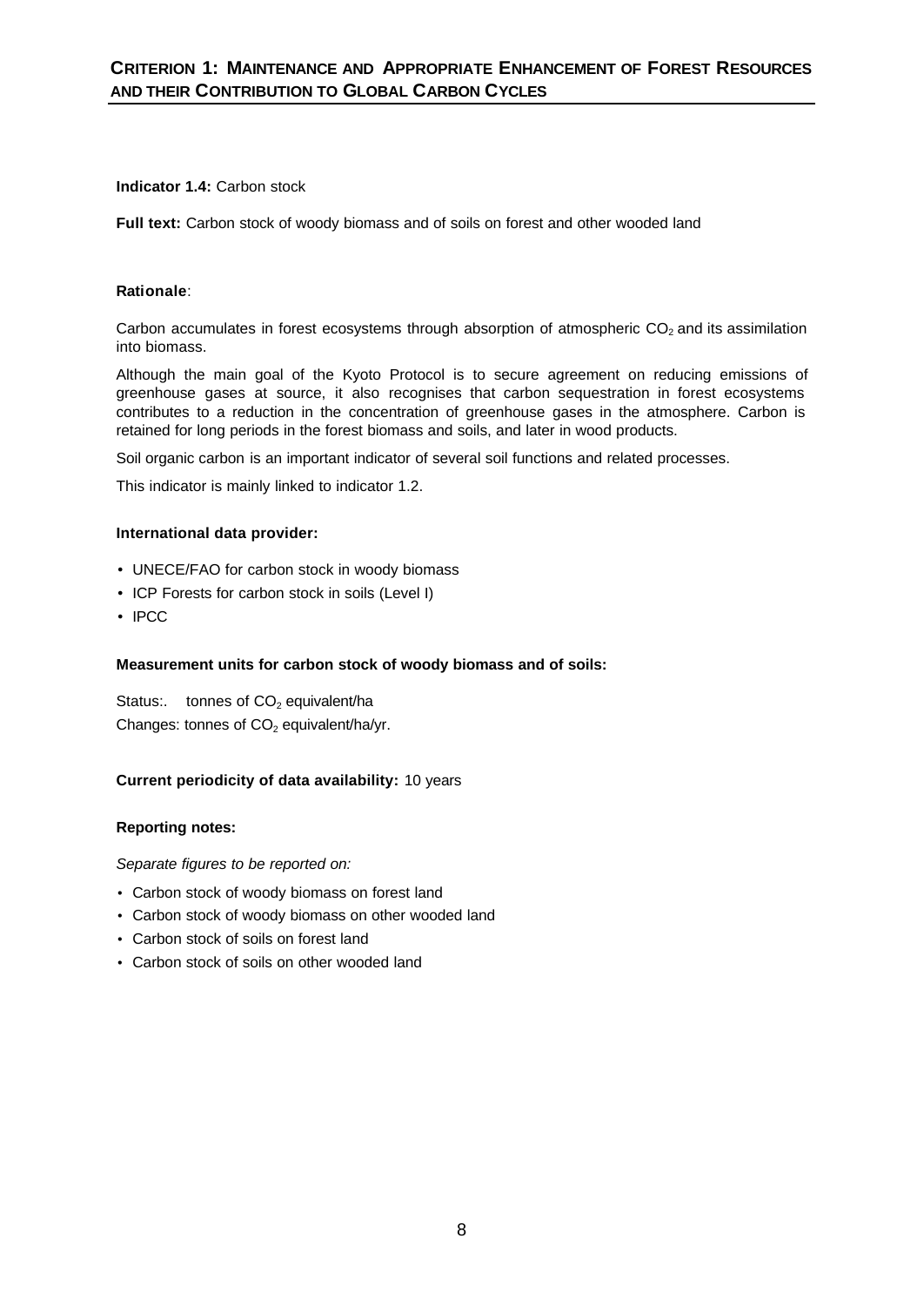# **Indicator 1.4:** Carbon stock

**Full text:** Carbon stock of woody biomass and of soils on forest and other wooded land

# **Rationale**:

Carbon accumulates in forest ecosystems through absorption of atmospheric  $CO<sub>2</sub>$  and its assimilation into biomass.

Although the main goal of the Kyoto Protocol is to secure agreement on reducing emissions of greenhouse gases at source, it also recognises that carbon sequestration in forest ecosystems contributes to a reduction in the concentration of greenhouse gases in the atmosphere. Carbon is retained for long periods in the forest biomass and soils, and later in wood products.

Soil organic carbon is an important indicator of several soil functions and related processes.

This indicator is mainly linked to indicator 1.2.

# **International data provider:**

- UNECE/FAO for carbon stock in woody biomass
- ICP Forests for carbon stock in soils (Level I)
- IPCC

# **Measurement units for carbon stock of woody biomass and of soils:**

Status: tonnes of  $CO<sub>2</sub>$  equivalent/ha Changes: tonnes of  $CO<sub>2</sub>$  equivalent/ha/yr.

# **Current periodicity of data availability:** 10 years

# **Reporting notes:**

- Carbon stock of woody biomass on forest land
- Carbon stock of woody biomass on other wooded land
- Carbon stock of soils on forest land
- Carbon stock of soils on other wooded land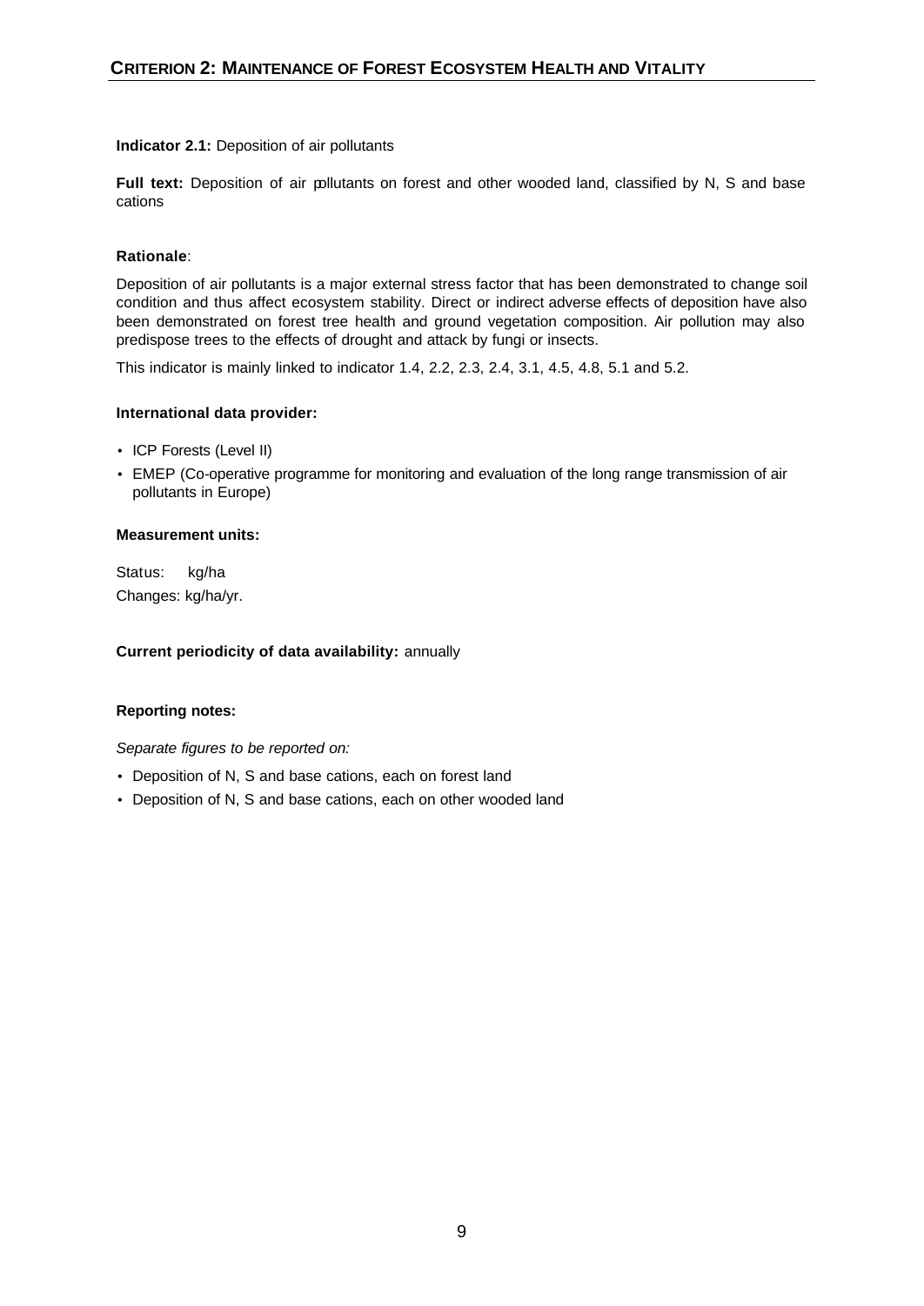# **Indicator 2.1:** Deposition of air pollutants

**Full text:** Deposition of air pollutants on forest and other wooded land, classified by N, S and base cations

# **Rationale**:

Deposition of air pollutants is a major external stress factor that has been demonstrated to change soil condition and thus affect ecosystem stability. Direct or indirect adverse effects of deposition have also been demonstrated on forest tree health and ground vegetation composition. Air pollution may also predispose trees to the effects of drought and attack by fungi or insects.

This indicator is mainly linked to indicator 1.4, 2.2, 2.3, 2.4, 3.1, 4.5, 4.8, 5.1 and 5.2.

# **International data provider:**

- ICP Forests (Level II)
- EMEP (Co-operative programme for monitoring and evaluation of the long range transmission of air pollutants in Europe)

# **Measurement units:**

Status: kg/ha Changes: kg/ha/yr.

#### **Current periodicity of data availability:** annually

# **Reporting notes:**

- Deposition of N, S and base cations, each on forest land
- Deposition of N, S and base cations, each on other wooded land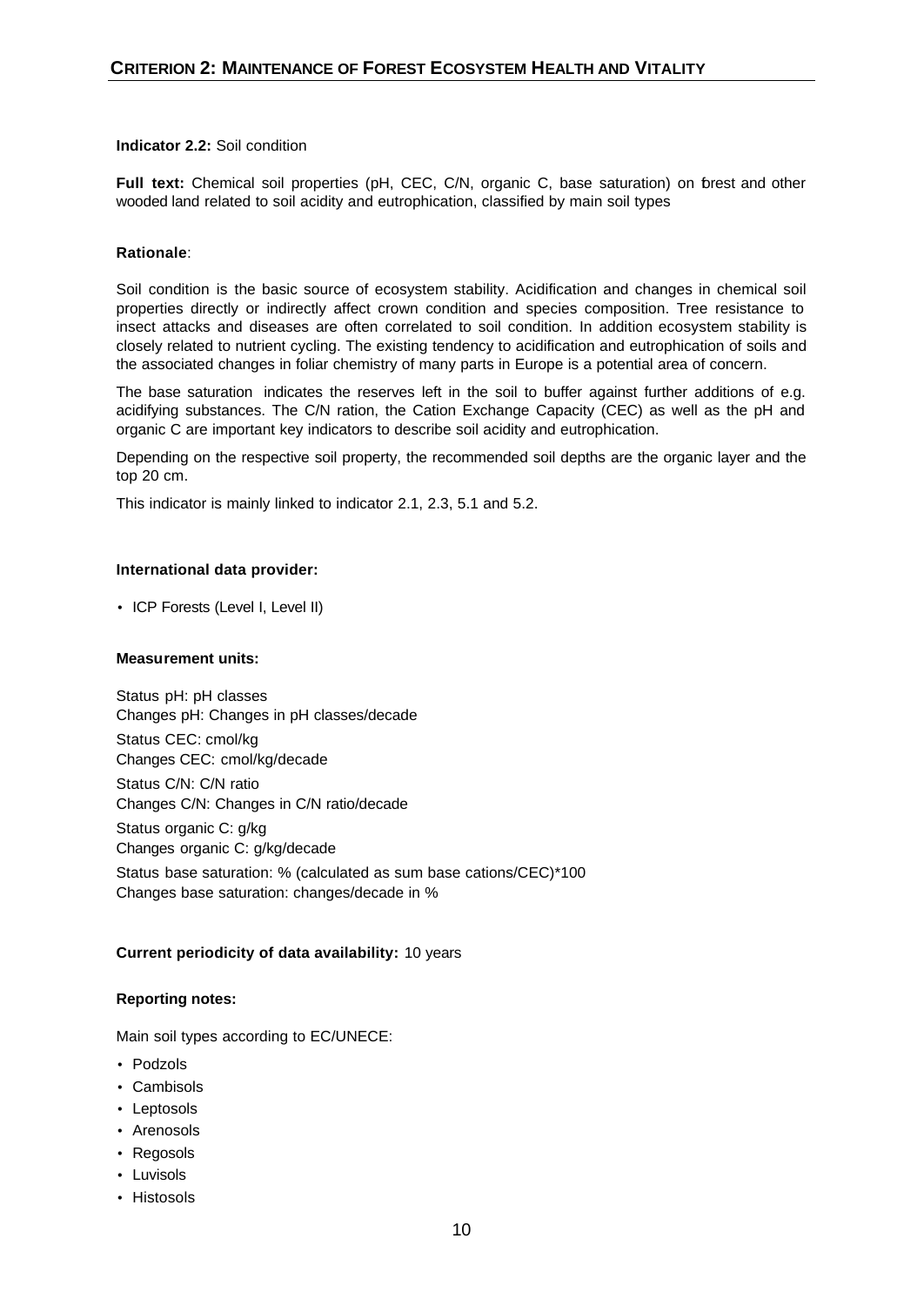# **Indicator 2.2:** Soil condition

**Full text:** Chemical soil properties (pH, CEC, C/N, organic C, base saturation) on forest and other wooded land related to soil acidity and eutrophication, classified by main soil types

# **Rationale**:

Soil condition is the basic source of ecosystem stability. Acidification and changes in chemical soil properties directly or indirectly affect crown condition and species composition. Tree resistance to insect attacks and diseases are often correlated to soil condition. In addition ecosystem stability is closely related to nutrient cycling. The existing tendency to acidification and eutrophication of soils and the associated changes in foliar chemistry of many parts in Europe is a potential area of concern.

The base saturation indicates the reserves left in the soil to buffer against further additions of e.g. acidifying substances. The C/N ration, the Cation Exchange Capacity (CEC) as well as the pH and organic C are important key indicators to describe soil acidity and eutrophication.

Depending on the respective soil property, the recommended soil depths are the organic layer and the top 20 cm.

This indicator is mainly linked to indicator 2.1, 2.3, 5.1 and 5.2.

# **International data provider:**

• ICP Forests (Level I, Level II)

#### **Measurement units:**

Status pH: pH classes Changes pH: Changes in pH classes/decade Status CEC: cmol/kg Changes CEC: cmol/kg/decade Status C/N: C/N ratio Changes C/N: Changes in C/N ratio/decade Status organic C: g/kg Changes organic C: g/kg/decade Status base saturation: % (calculated as sum base cations/CEC)\*100 Changes base saturation: changes/decade in %

# **Current periodicity of data availability:** 10 years

# **Reporting notes:**

Main soil types according to EC/UNECE:

- Podzols
- Cambisols
- Leptosols
- Arenosols
- Regosols
- Luvisols
- Histosols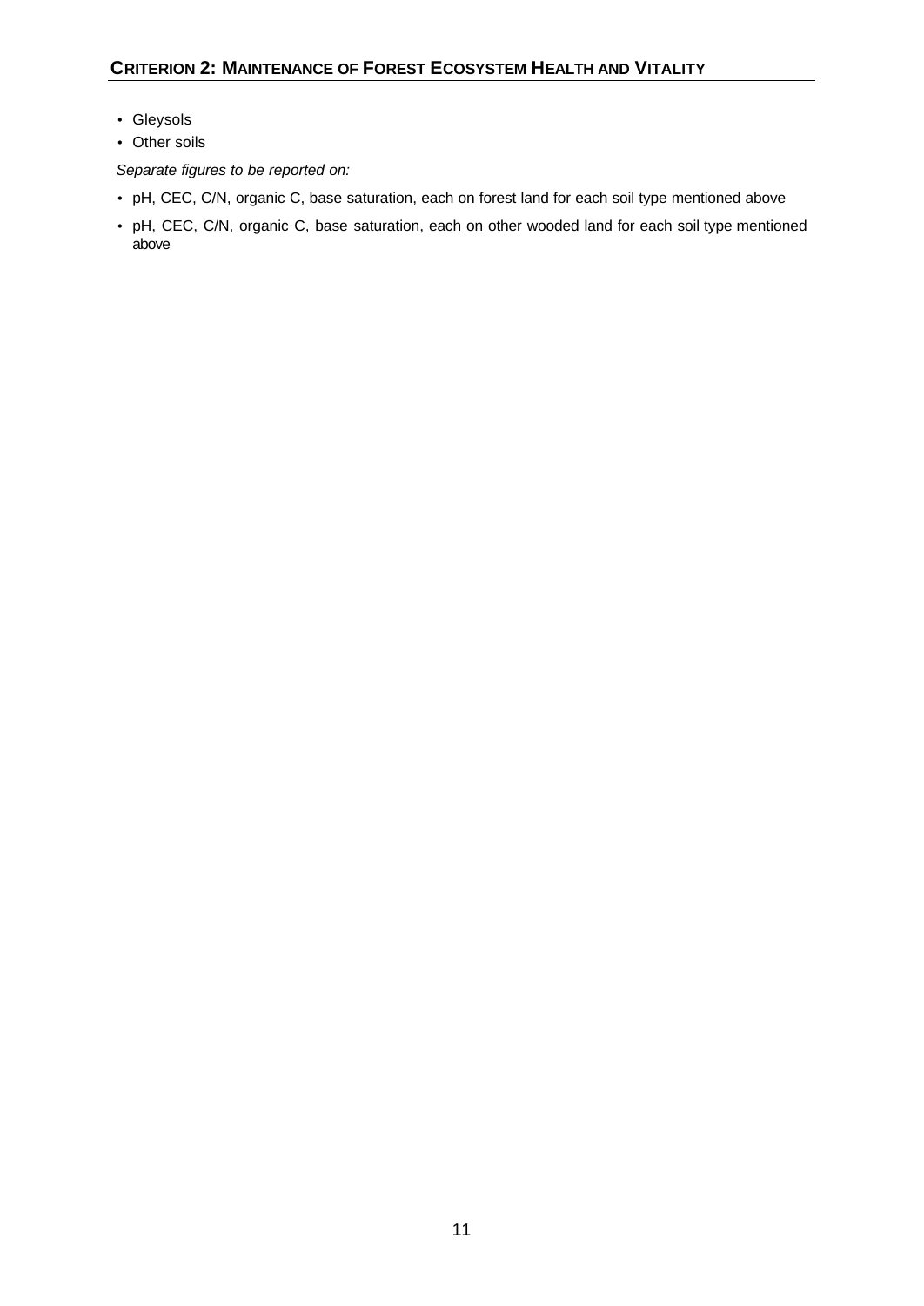- Gleysols
- Other soils

- pH, CEC, C/N, organic C, base saturation, each on forest land for each soil type mentioned above
- pH, CEC, C/N, organic C, base saturation, each on other wooded land for each soil type mentioned above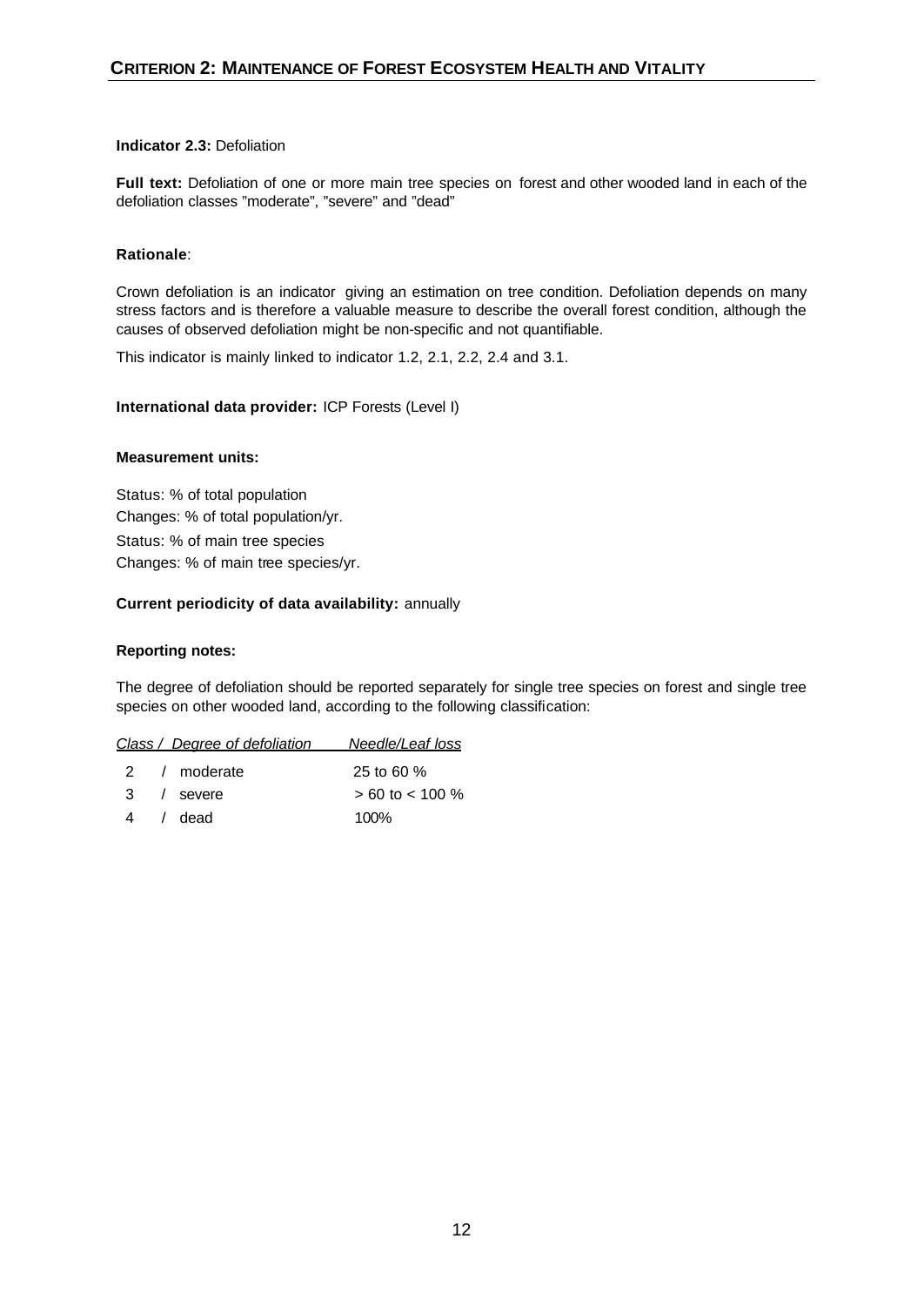# **Indicator 2.3:** Defoliation

**Full text:** Defoliation of one or more main tree species on forest and other wooded land in each of the defoliation classes "moderate", "severe" and "dead"

# **Rationale**:

Crown defoliation is an indicator giving an estimation on tree condition. Defoliation depends on many stress factors and is therefore a valuable measure to describe the overall forest condition, although the causes of observed defoliation might be non-specific and not quantifiable.

This indicator is mainly linked to indicator 1.2, 2.1, 2.2, 2.4 and 3.1.

# **International data provider:** ICP Forests (Level I)

#### **Measurement units:**

Status: % of total population Changes: % of total population/yr. Status: % of main tree species Changes: % of main tree species/yr.

# **Current periodicity of data availability:** annually

# **Reporting notes:**

The degree of defoliation should be reported separately for single tree species on forest and single tree species on other wooded land, according to the following classification:

| Class / Degree of defoliation | Needle/Leaf loss |
|-------------------------------|------------------|
|                               |                  |

| 2 / moderate | 25 to 60 $%$        |
|--------------|---------------------|
| 3 / severe   | $> 60$ to $< 100$ % |
| 4 / dead     | 100%                |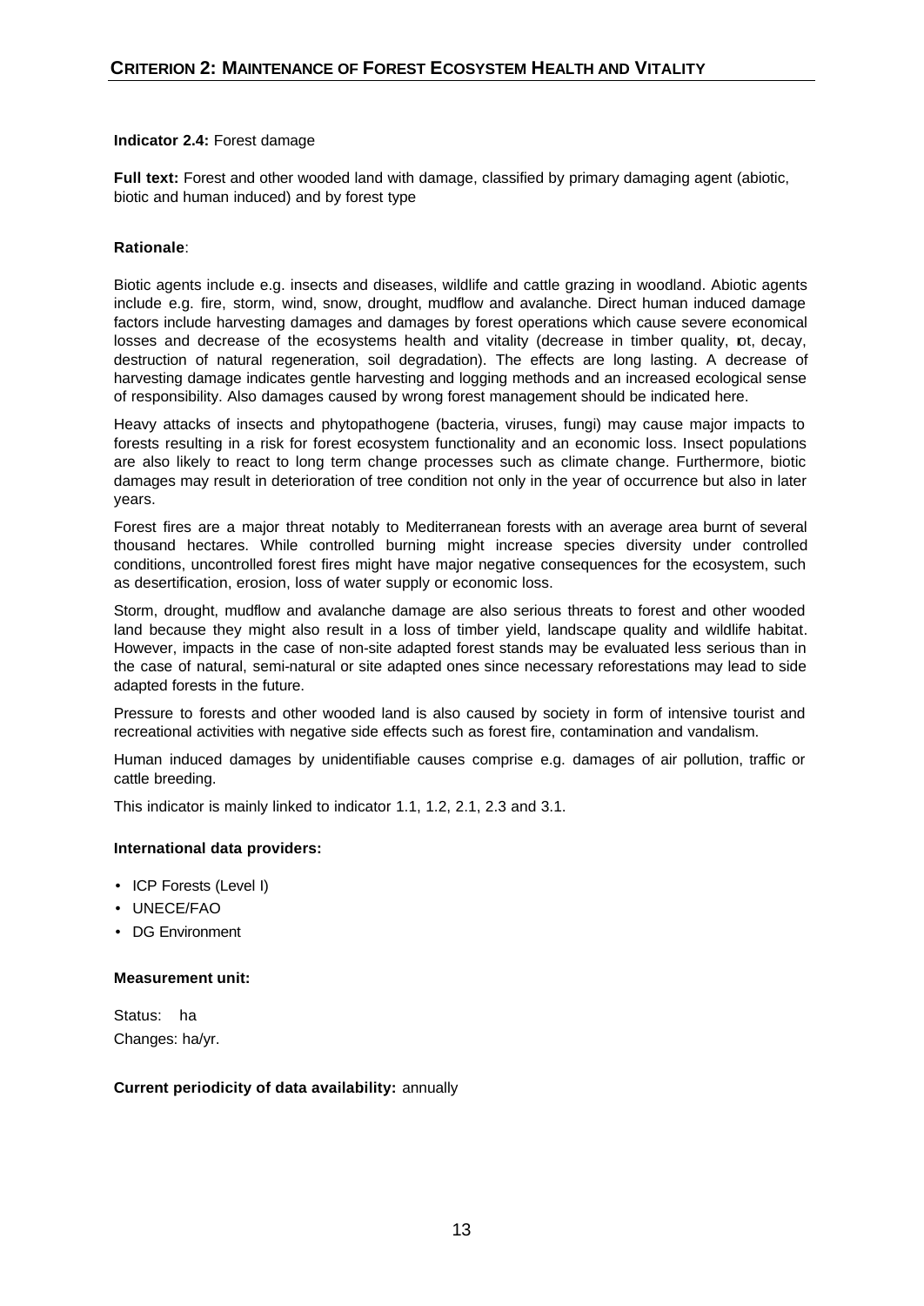#### **Indicator 2.4:** Forest damage

**Full text:** Forest and other wooded land with damage, classified by primary damaging agent (abiotic, biotic and human induced) and by forest type

# **Rationale**:

Biotic agents include e.g. insects and diseases, wildlife and cattle grazing in woodland. Abiotic agents include e.g. fire, storm, wind, snow, drought, mudflow and avalanche. Direct human induced damage factors include harvesting damages and damages by forest operations which cause severe economical losses and decrease of the ecosystems health and vitality (decrease in timber quality, pt, decay, destruction of natural regeneration, soil degradation). The effects are long lasting. A decrease of harvesting damage indicates gentle harvesting and logging methods and an increased ecological sense of responsibility. Also damages caused by wrong forest management should be indicated here.

Heavy attacks of insects and phytopathogene (bacteria, viruses, fungi) may cause major impacts to forests resulting in a risk for forest ecosystem functionality and an economic loss. Insect populations are also likely to react to long term change processes such as climate change. Furthermore, biotic damages may result in deterioration of tree condition not only in the year of occurrence but also in later years.

Forest fires are a major threat notably to Mediterranean forests with an average area burnt of several thousand hectares. While controlled burning might increase species diversity under controlled conditions, uncontrolled forest fires might have major negative consequences for the ecosystem, such as desertification, erosion, loss of water supply or economic loss.

Storm, drought, mudflow and avalanche damage are also serious threats to forest and other wooded land because they might also result in a loss of timber yield, landscape quality and wildlife habitat. However, impacts in the case of non-site adapted forest stands may be evaluated less serious than in the case of natural, semi-natural or site adapted ones since necessary reforestations may lead to side adapted forests in the future.

Pressure to forests and other wooded land is also caused by society in form of intensive tourist and recreational activities with negative side effects such as forest fire, contamination and vandalism.

Human induced damages by unidentifiable causes comprise e.g. damages of air pollution, traffic or cattle breeding.

This indicator is mainly linked to indicator 1.1, 1.2, 2.1, 2.3 and 3.1.

#### **International data providers:**

- ICP Forests (Level I)
- UNECE/FAO
- DG Environment

#### **Measurement unit:**

Status: ha Changes: ha/yr.

#### **Current periodicity of data availability:** annually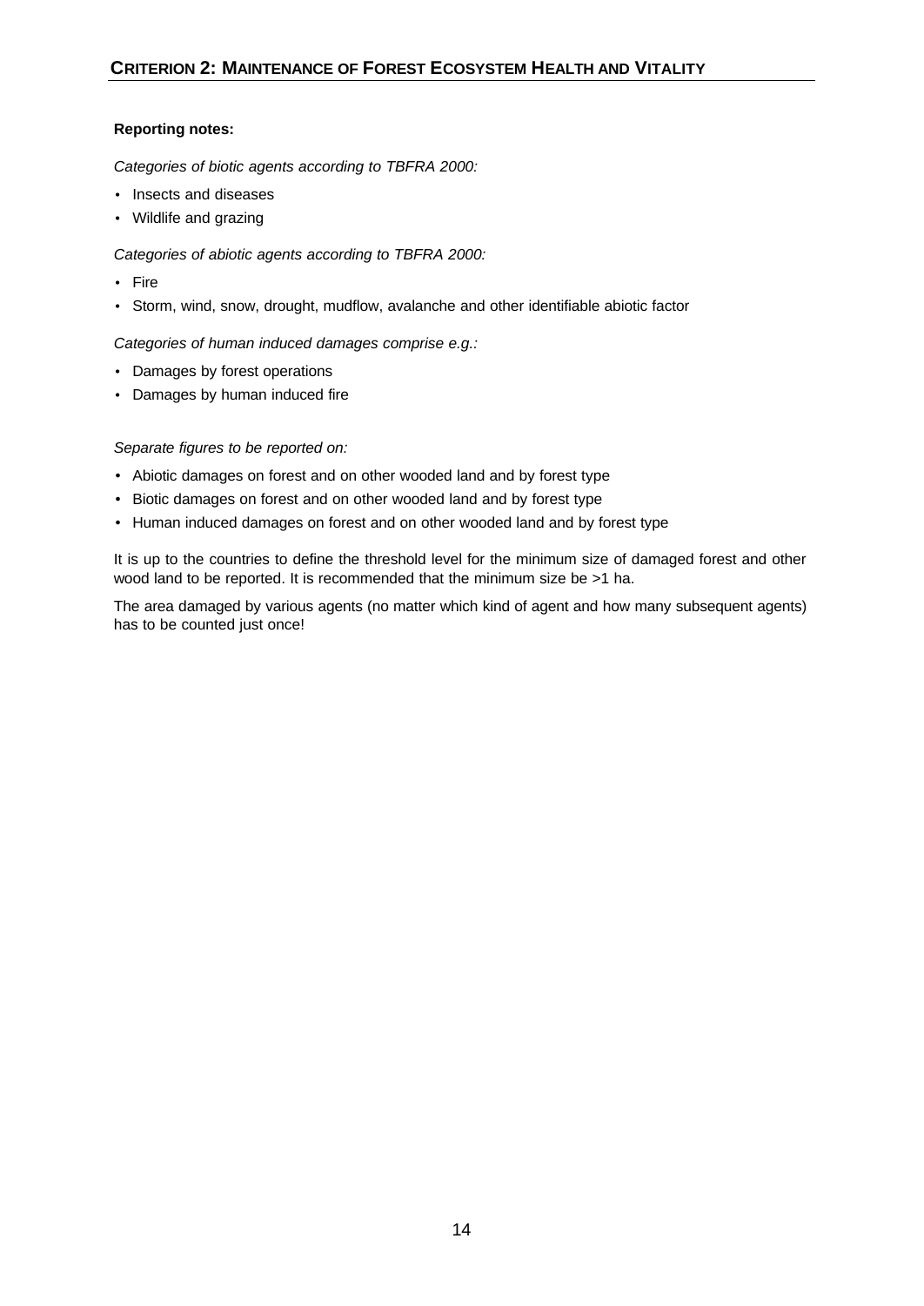# **Reporting notes:**

*Categories of biotic agents according to TBFRA 2000:*

- Insects and diseases
- Wildlife and grazing

*Categories of abiotic agents according to TBFRA 2000:*

- Fire
- Storm, wind, snow, drought, mudflow, avalanche and other identifiable abiotic factor

*Categories of human induced damages comprise e.g.:*

- Damages by forest operations
- Damages by human induced fire

# *Separate figures to be reported on:*

- Abiotic damages on forest and on other wooded land and by forest type
- Biotic damages on forest and on other wooded land and by forest type
- Human induced damages on forest and on other wooded land and by forest type

It is up to the countries to define the threshold level for the minimum size of damaged forest and other wood land to be reported. It is recommended that the minimum size be >1 ha.

The area damaged by various agents (no matter which kind of agent and how many subsequent agents) has to be counted just once!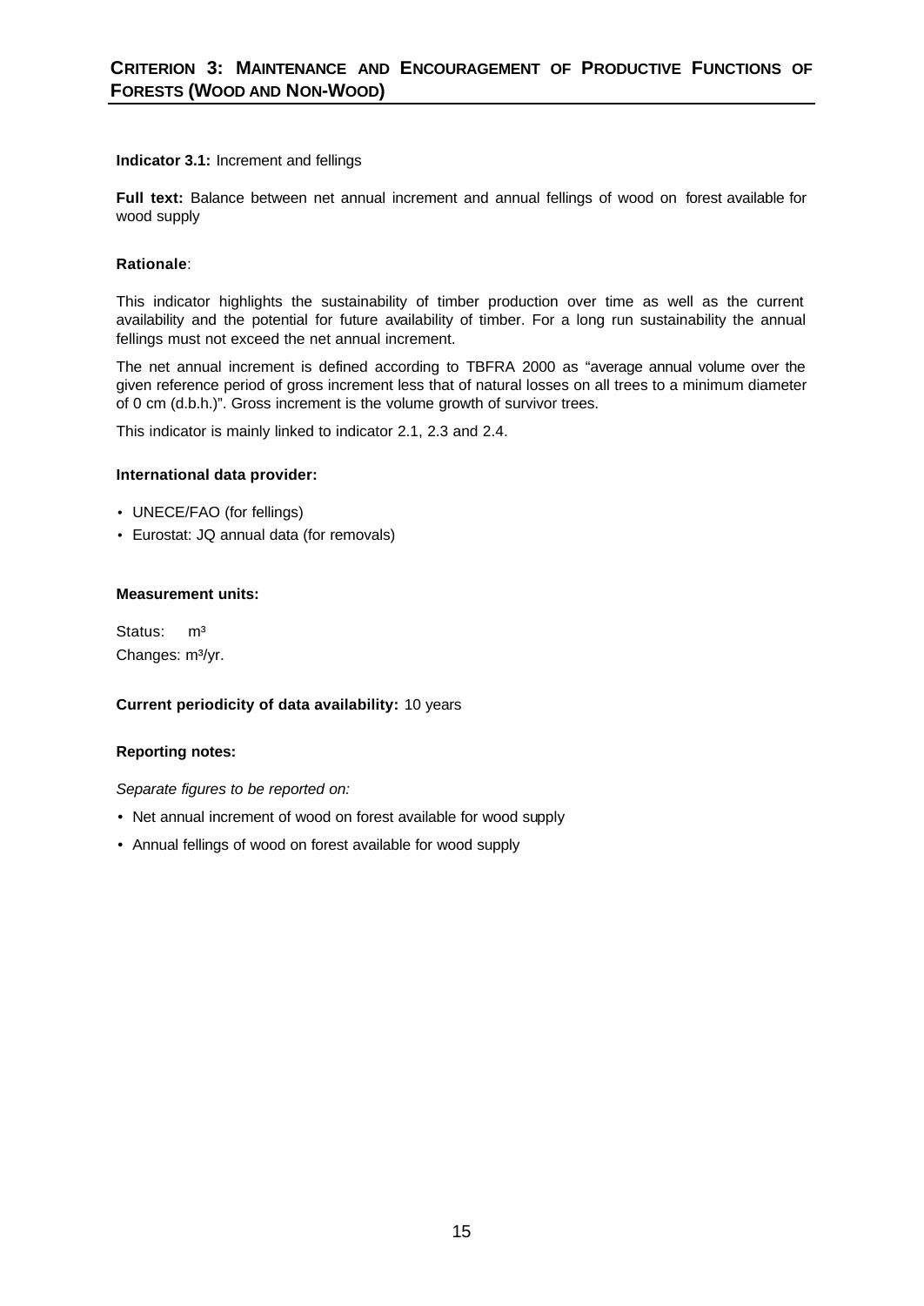# **Indicator 3.1:** Increment and fellings

**Full text:** Balance between net annual increment and annual fellings of wood on forest available for wood supply

# **Rationale**:

This indicator highlights the sustainability of timber production over time as well as the current availability and the potential for future availability of timber. For a long run sustainability the annual fellings must not exceed the net annual increment.

The net annual increment is defined according to TBFRA 2000 as "average annual volume over the given reference period of gross increment less that of natural losses on all trees to a minimum diameter of 0 cm (d.b.h.)". Gross increment is the volume growth of survivor trees.

This indicator is mainly linked to indicator 2.1, 2.3 and 2.4.

# **International data provider:**

- UNECE/FAO (for fellings)
- Eurostat: JQ annual data (for removals)

# **Measurement units:**

Status: m<sup>3</sup> Changes: m<sup>3</sup>/yr.

#### **Current periodicity of data availability:** 10 years

#### **Reporting notes:**

- Net annual increment of wood on forest available for wood supply
- Annual fellings of wood on forest available for wood supply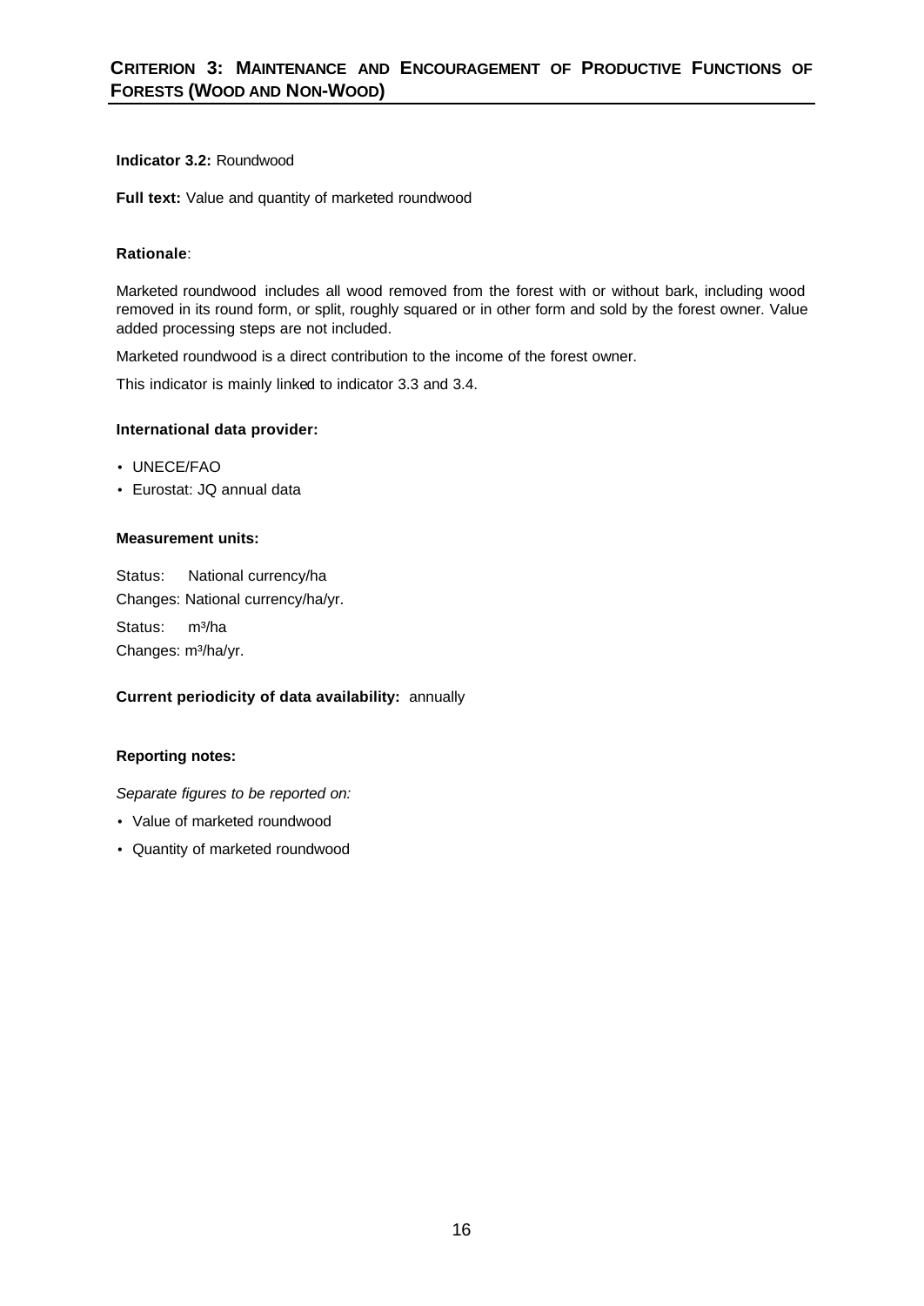# **Indicator 3.2:** Roundwood

**Full text:** Value and quantity of marketed roundwood

# **Rationale**:

Marketed roundwood includes all wood removed from the forest with or without bark, including wood removed in its round form, or split, roughly squared or in other form and sold by the forest owner. Value added processing steps are not included.

Marketed roundwood is a direct contribution to the income of the forest owner.

This indicator is mainly linked to indicator 3.3 and 3.4.

# **International data provider:**

- UNECE/FAO
- Eurostat: JQ annual data

# **Measurement units:**

Status:National currency/ha Changes: National currency/ha/yr. Status: m<sup>3</sup>/ha Changes: m<sup>3</sup>/ha/yr.

# **Current periodicity of data availability:** annually

# **Reporting notes:**

- Value of marketed roundwood
- Quantity of marketed roundwood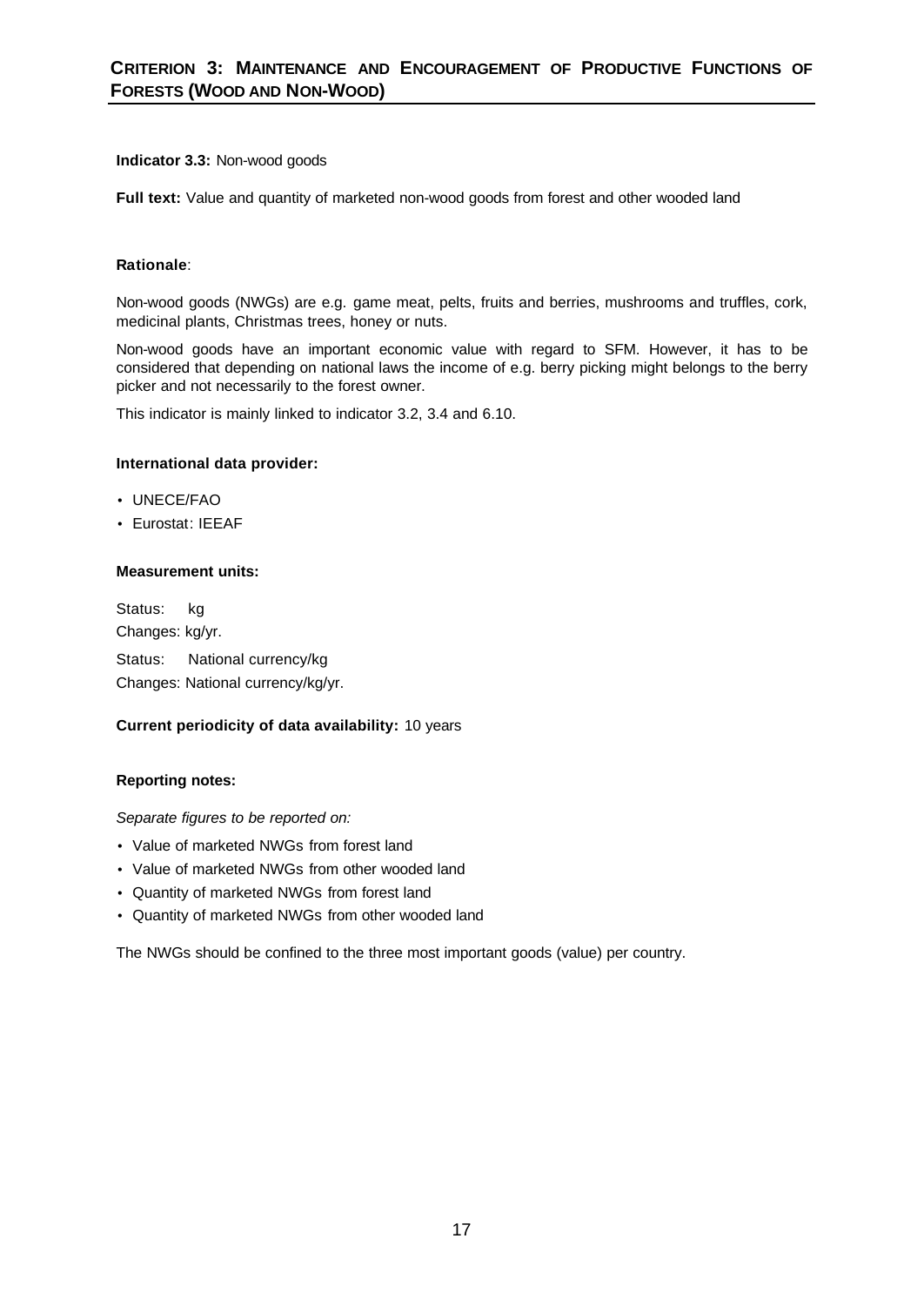# **Indicator 3.3:** Non-wood goods

**Full text:** Value and quantity of marketed non-wood goods from forest and other wooded land

# **Rationale**:

Non-wood goods (NWGs) are e.g. game meat, pelts, fruits and berries, mushrooms and truffles, cork, medicinal plants, Christmas trees, honey or nuts.

Non-wood goods have an important economic value with regard to SFM. However, it has to be considered that depending on national laws the income of e.g. berry picking might belongs to the berry picker and not necessarily to the forest owner.

This indicator is mainly linked to indicator 3.2, 3.4 and 6.10.

# **International data provider:**

- UNECE/FAO
- Eurostat: IEEAF

# **Measurement units:**

Status:kg Changes: kg/yr. Status:National currency/kg Changes: National currency/kg/yr.

# **Current periodicity of data availability:** 10 years

# **Reporting notes:**

*Separate figures to be reported on:* 

- Value of marketed NWGs from forest land
- Value of marketed NWGs from other wooded land
- Quantity of marketed NWGs from forest land
- Quantity of marketed NWGs from other wooded land

The NWGs should be confined to the three most important goods (value) per country.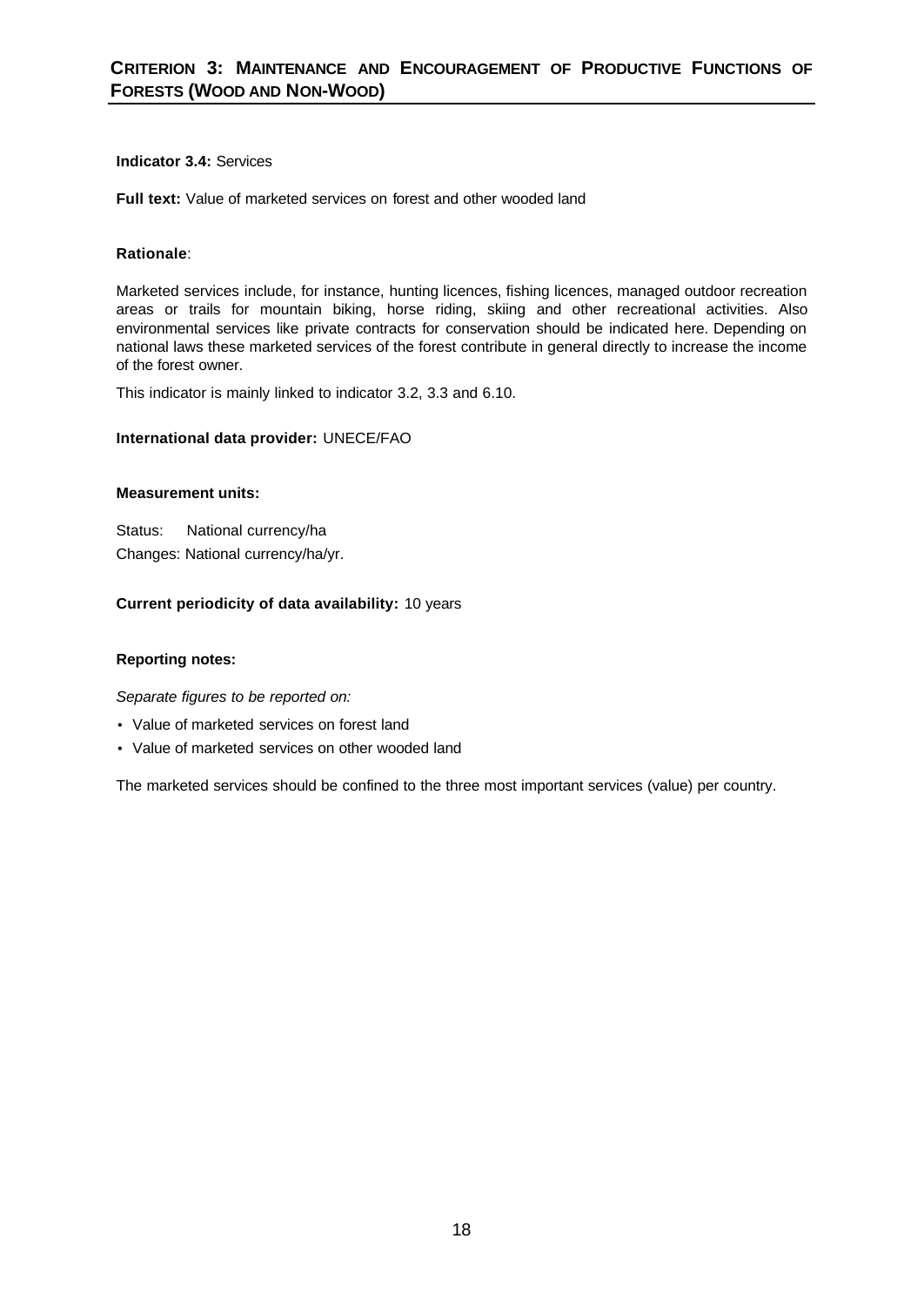# **Indicator 3.4:** Services

**Full text:** Value of marketed services on forest and other wooded land

# **Rationale**:

Marketed services include, for instance, hunting licences, fishing licences, managed outdoor recreation areas or trails for mountain biking, horse riding, skiing and other recreational activities. Also environmental services like private contracts for conservation should be indicated here. Depending on national laws these marketed services of the forest contribute in general directly to increase the income of the forest owner.

This indicator is mainly linked to indicator 3.2, 3.3 and 6.10.

# **International data provider:** UNECE/FAO

# **Measurement units:**

Status: National currency/ha Changes: National currency/ha/yr.

# **Current periodicity of data availability:** 10 years

# **Reporting notes:**

*Separate figures to be reported on:* 

- Value of marketed services on forest land
- Value of marketed services on other wooded land

The marketed services should be confined to the three most important services (value) per country.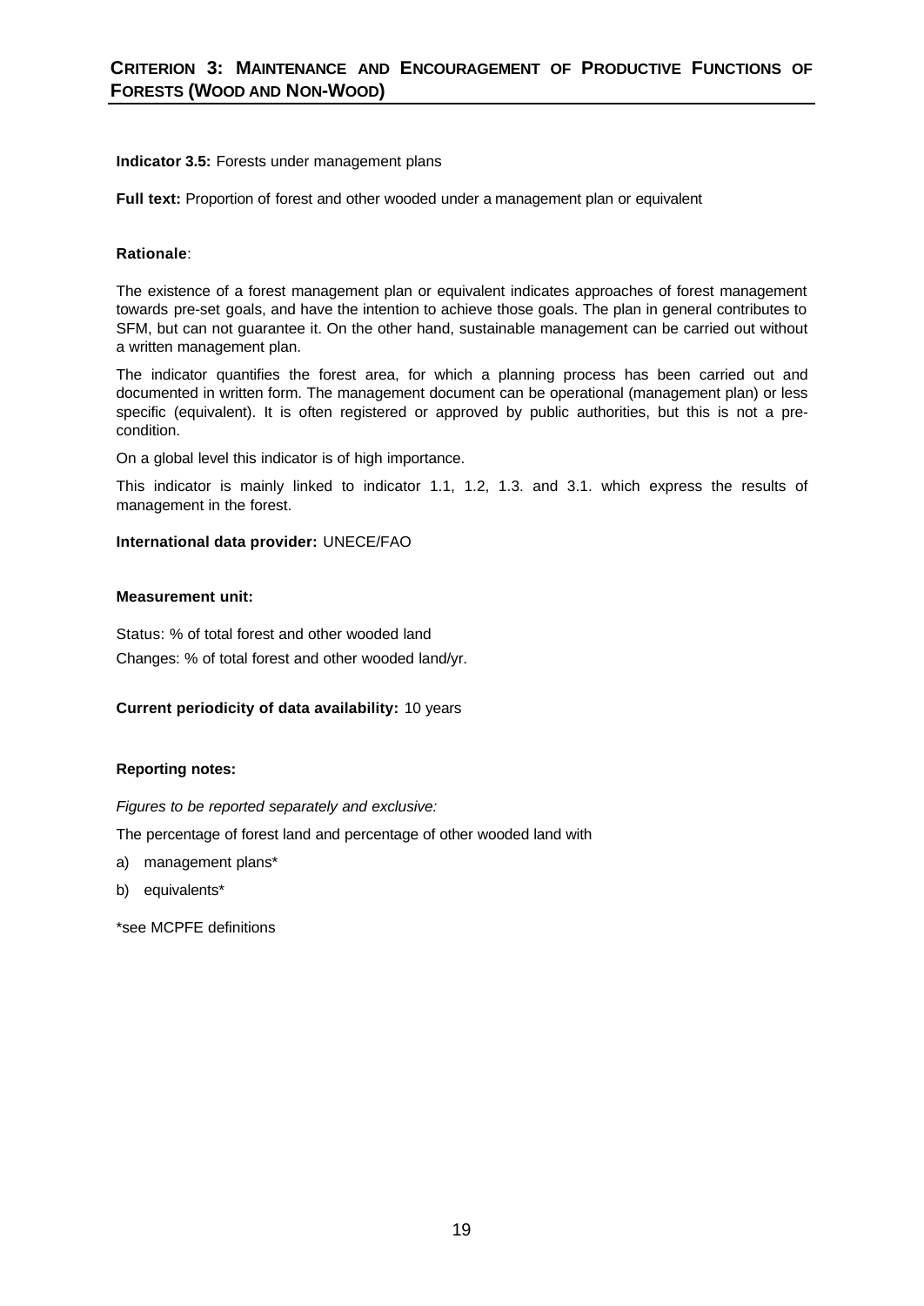# **Indicator 3.5:** Forests under management plans

**Full text:** Proportion of forest and other wooded under a management plan or equivalent

# **Rationale**:

The existence of a forest management plan or equivalent indicates approaches of forest management towards pre-set goals, and have the intention to achieve those goals. The plan in general contributes to SFM, but can not guarantee it. On the other hand, sustainable management can be carried out without a written management plan.

The indicator quantifies the forest area, for which a planning process has been carried out and documented in written form. The management document can be operational (management plan) or less specific (equivalent). It is often registered or approved by public authorities, but this is not a precondition.

On a global level this indicator is of high importance.

This indicator is mainly linked to indicator 1.1, 1.2, 1.3. and 3.1. which express the results of management in the forest.

# **International data provider:** UNECE/FAO

# **Measurement unit:**

Status: % of total forest and other wooded land Changes: % of total forest and other wooded land/yr.

# **Current periodicity of data availability:** 10 years

# **Reporting notes:**

*Figures to be reported separately and exclusive:*

The percentage of forest land and percentage of other wooded land with

- a) management plans\*
- b) equivalents\*

\*see MCPFE definitions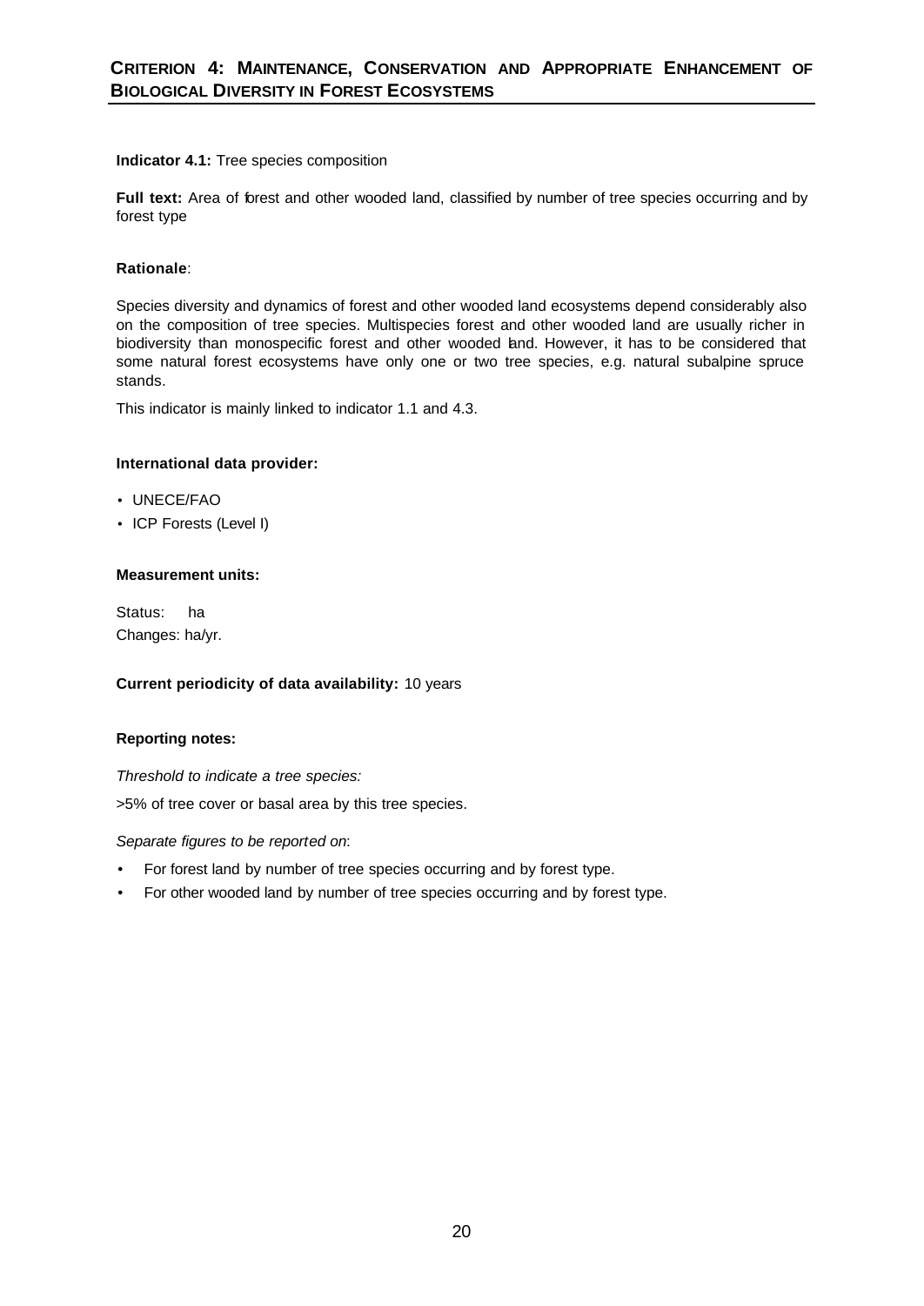# **Indicator 4.1:** Tree species composition

Full text: Area of forest and other wooded land, classified by number of tree species occurring and by forest type

# **Rationale**:

Species diversity and dynamics of forest and other wooded land ecosystems depend considerably also on the composition of tree species. Multispecies forest and other wooded land are usually richer in biodiversity than monospecific forest and other wooded land. However, it has to be considered that some natural forest ecosystems have only one or two tree species, e.g. natural subalpine spruce stands.

This indicator is mainly linked to indicator 1.1 and 4.3.

# **International data provider:**

- UNECE/FAO
- ICP Forests (Level I)

# **Measurement units:**

Status:ha Changes: ha/yr.

# **Current periodicity of data availability:** 10 years

# **Reporting notes:**

*Threshold to indicate a tree species:* 

>5% of tree cover or basal area by this tree species.

- For forest land by number of tree species occurring and by forest type.
- For other wooded land by number of tree species occurring and by forest type.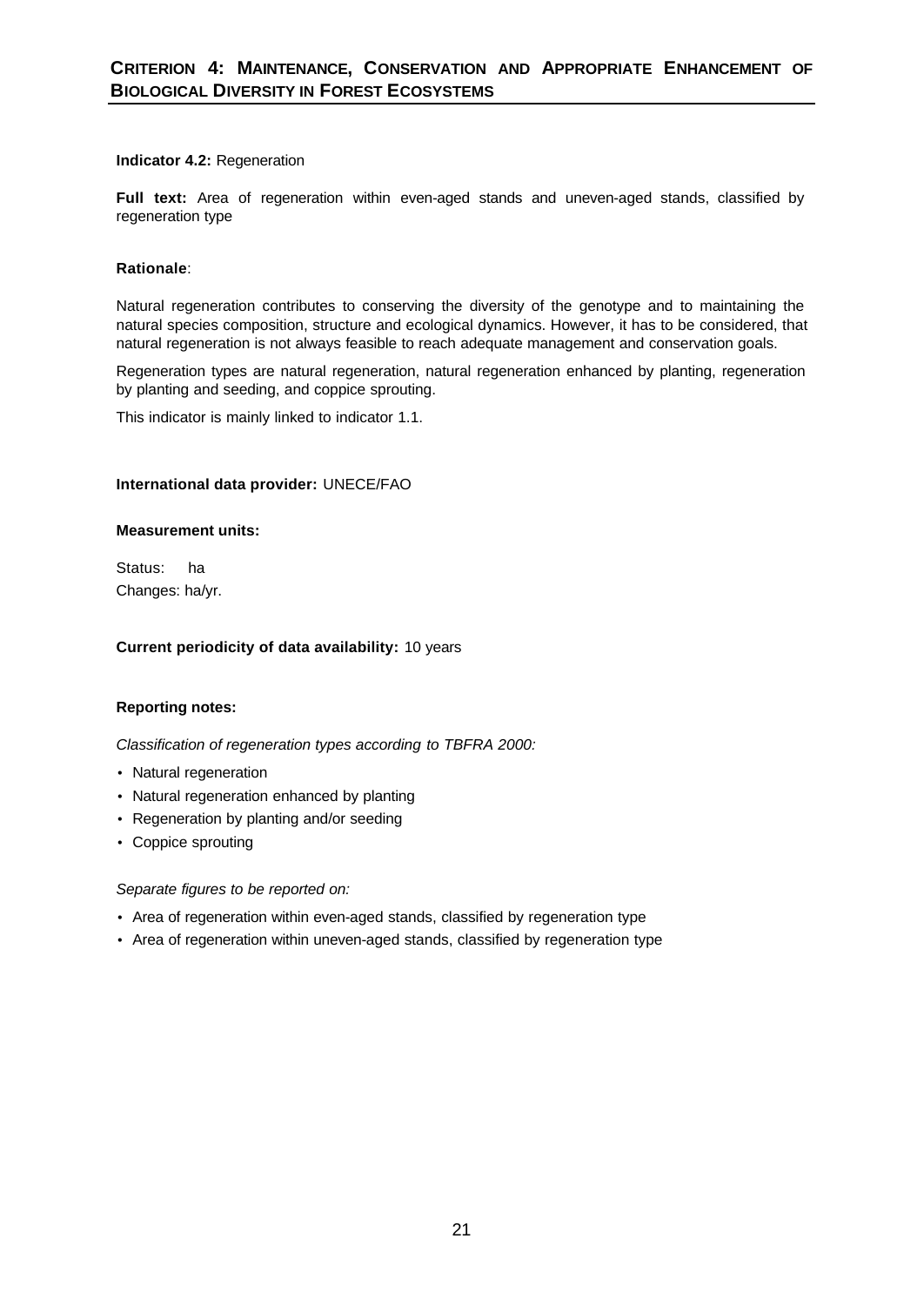# **Indicator 4.2:** Regeneration

**Full text:** Area of regeneration within even-aged stands and uneven-aged stands, classified by regeneration type

# **Rationale**:

Natural regeneration contributes to conserving the diversity of the genotype and to maintaining the natural species composition, structure and ecological dynamics. However, it has to be considered, that natural regeneration is not always feasible to reach adequate management and conservation goals.

Regeneration types are natural regeneration, natural regeneration enhanced by planting, regeneration by planting and seeding, and coppice sprouting.

This indicator is mainly linked to indicator 1.1.

# **International data provider:** UNECE/FAO

# **Measurement units:**

Status:ha Changes: ha/yr.

# **Current periodicity of data availability:** 10 years

# **Reporting notes:**

*Classification of regeneration types according to TBFRA 2000:* 

- Natural regeneration
- Natural regeneration enhanced by planting
- Regeneration by planting and/or seeding
- Coppice sprouting

- Area of regeneration within even-aged stands, classified by regeneration type
- Area of regeneration within uneven-aged stands, classified by regeneration type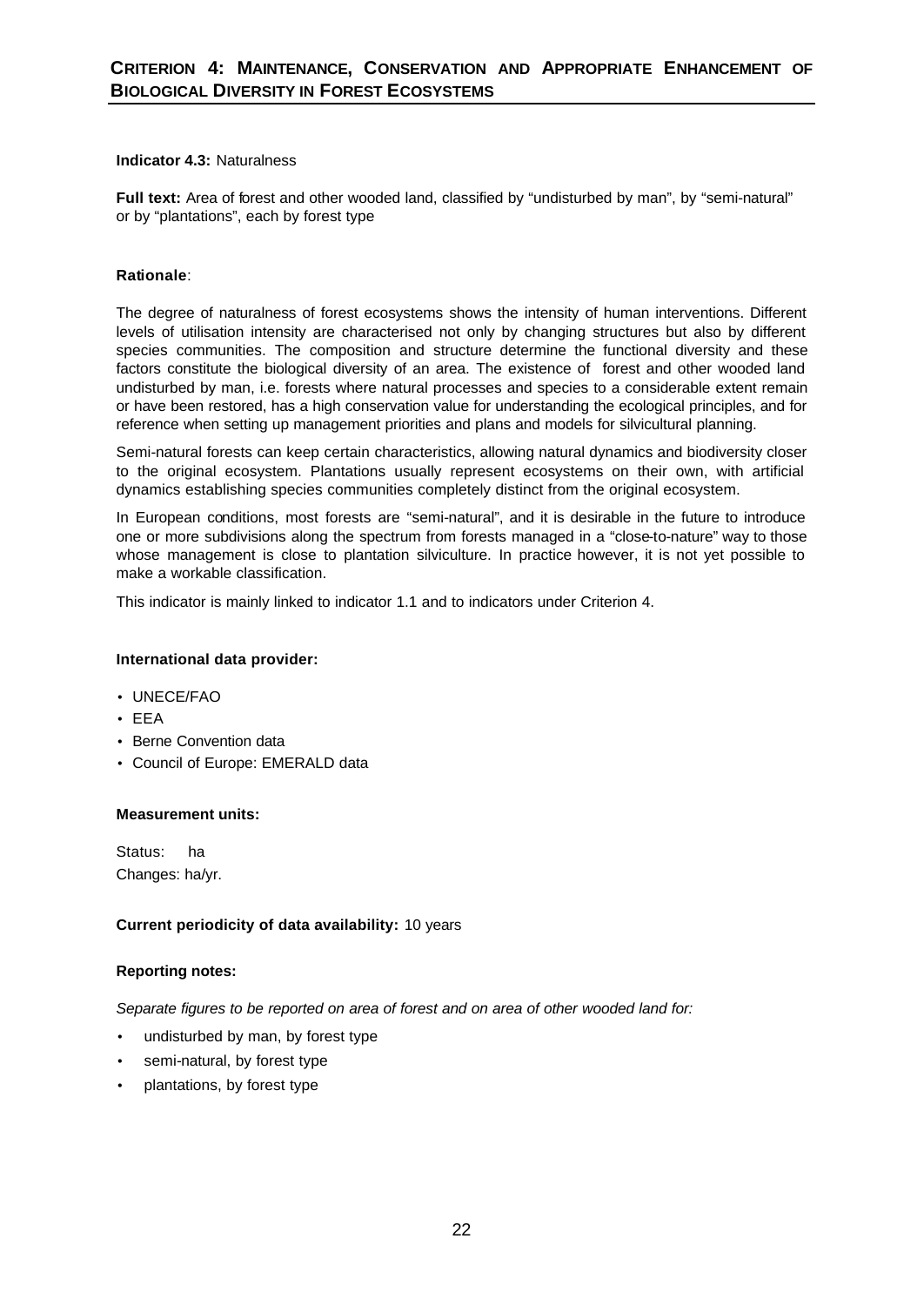# **Indicator 4.3:** Naturalness

**Full text:** Area of forest and other wooded land, classified by "undisturbed by man", by "semi-natural" or by "plantations", each by forest type

# **Rationale**:

The degree of naturalness of forest ecosystems shows the intensity of human interventions. Different levels of utilisation intensity are characterised not only by changing structures but also by different species communities. The composition and structure determine the functional diversity and these factors constitute the biological diversity of an area. The existence of forest and other wooded land undisturbed by man, i.e. forests where natural processes and species to a considerable extent remain or have been restored, has a high conservation value for understanding the ecological principles, and for reference when setting up management priorities and plans and models for silvicultural planning.

Semi-natural forests can keep certain characteristics, allowing natural dynamics and biodiversity closer to the original ecosystem. Plantations usually represent ecosystems on their own, with artificial dynamics establishing species communities completely distinct from the original ecosystem.

In European conditions, most forests are "semi-natural", and it is desirable in the future to introduce one or more subdivisions along the spectrum from forests managed in a "close-to-nature" way to those whose management is close to plantation silviculture. In practice however, it is not yet possible to make a workable classification.

This indicator is mainly linked to indicator 1.1 and to indicators under Criterion 4.

# **International data provider:**

- UNECE/FAO
- EEA
- Berne Convention data
- Council of Europe: EMERALD data

#### **Measurement units:**

Status:ha Changes: ha/yr.

# **Current periodicity of data availability:** 10 years

# **Reporting notes:**

*Separate figures to be reported on area of forest and on area of other wooded land for:*

- undisturbed by man, by forest type
- semi-natural, by forest type
- plantations, by forest type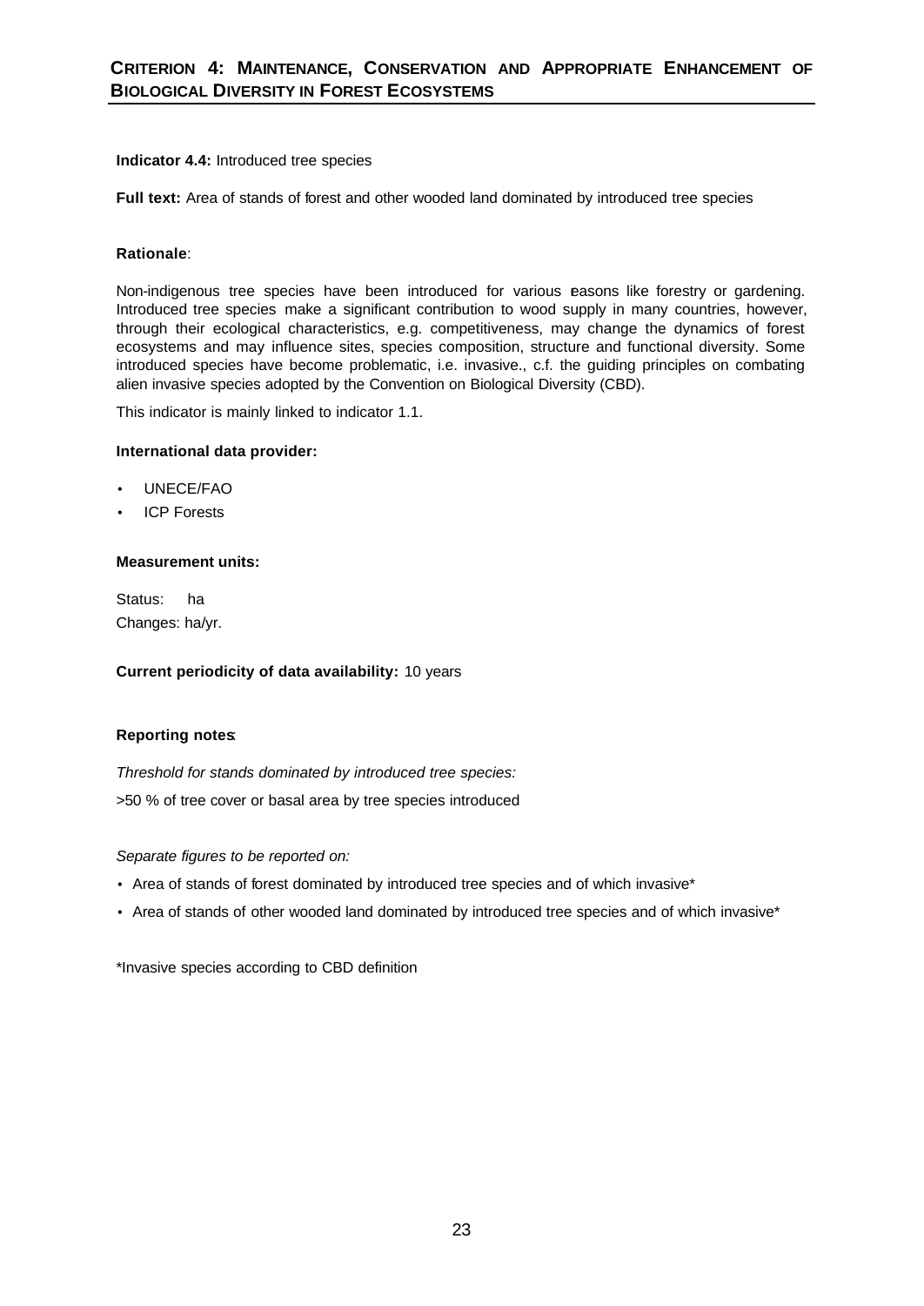# **Indicator 4.4:** Introduced tree species

**Full text:** Area of stands of forest and other wooded land dominated by introduced tree species

# **Rationale**:

Non-indigenous tree species have been introduced for various easons like forestry or gardening. Introduced tree species make a significant contribution to wood supply in many countries, however, through their ecological characteristics, e.g. competitiveness, may change the dynamics of forest ecosystems and may influence sites, species composition, structure and functional diversity. Some introduced species have become problematic, i.e. invasive., c.f. the guiding principles on combating alien invasive species adopted by the Convention on Biological Diversity (CBD).

This indicator is mainly linked to indicator 1.1.

# **International data provider:**

- UNECE/FAO
- ICP Forests

# **Measurement units:**

Status: ha Changes: ha/yr.

**Current periodicity of data availability:** 10 years

# **Reporting notes**:

*Threshold for stands dominated by introduced tree species:*  >50 % of tree cover or basal area by tree species introduced

*Separate figures to be reported on:*

- Area of stands of forest dominated by introduced tree species and of which invasive\*
- Area of stands of other wooded land dominated by introduced tree species and of which invasive\*

\*Invasive species according to CBD definition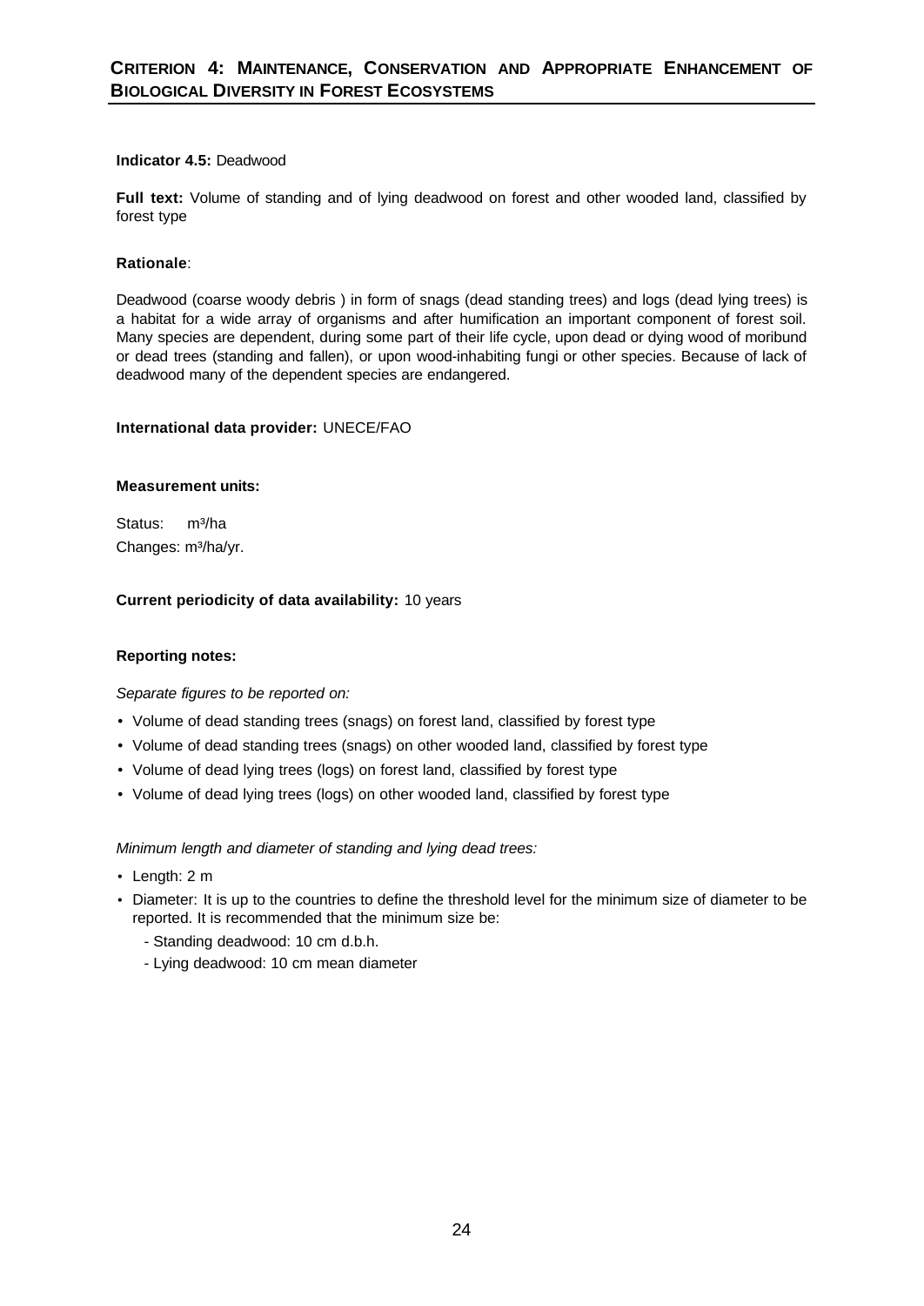# **Indicator 4.5:** Deadwood

**Full text:** Volume of standing and of lying deadwood on forest and other wooded land, classified by forest type

# **Rationale**:

Deadwood (coarse woody debris ) in form of snags (dead standing trees) and logs (dead lying trees) is a habitat for a wide array of organisms and after humification an important component of forest soil. Many species are dependent, during some part of their life cycle, upon dead or dying wood of moribund or dead trees (standing and fallen), or upon wood-inhabiting fungi or other species. Because of lack of deadwood many of the dependent species are endangered.

# **International data provider:** UNECE/FAO

# **Measurement units:**

Status: m<sup>3</sup>/ha Changes: m<sup>3</sup>/ha/yr.

# **Current periodicity of data availability:** 10 years

# **Reporting notes:**

# *Separate figures to be reported on:*

- Volume of dead standing trees (snags) on forest land, classified by forest type
- Volume of dead standing trees (snags) on other wooded land, classified by forest type
- Volume of dead lying trees (logs) on forest land, classified by forest type
- Volume of dead lying trees (logs) on other wooded land, classified by forest type

*Minimum length and diameter of standing and lying dead trees:* 

- Length: 2 m
- Diameter: It is up to the countries to define the threshold level for the minimum size of diameter to be reported. It is recommended that the minimum size be:
	- Standing deadwood: 10 cm d.b.h.
	- Lying deadwood: 10 cm mean diameter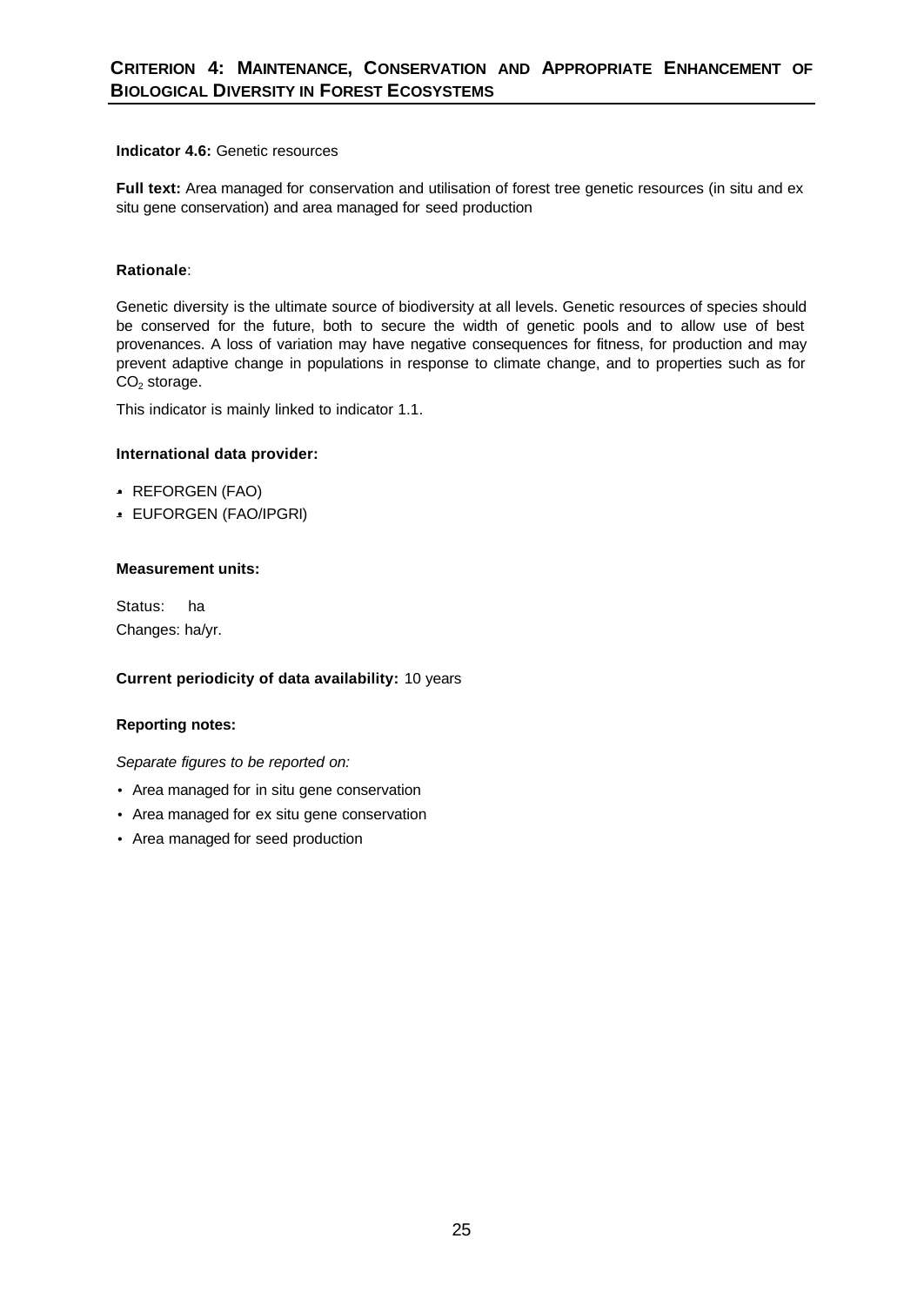# **Indicator 4.6:** Genetic resources

**Full text:** Area managed for conservation and utilisation of forest tree genetic resources (in situ and ex situ gene conservation) and area managed for seed production

# **Rationale**:

Genetic diversity is the ultimate source of biodiversity at all levels. Genetic resources of species should be conserved for the future, both to secure the width of genetic pools and to allow use of best provenances. A loss of variation may have negative consequences for fitness, for production and may prevent adaptive change in populations in response to climate change, and to properties such as for  $CO<sub>2</sub>$  storage.

This indicator is mainly linked to indicator 1.1.

# **International data provider:**

- REFORGEN (FAO)
- EUFORGEN (FAO/IPGRI)

# **Measurement units:**

Status:ha Changes: ha/yr.

# **Current periodicity of data availability:** 10 years

# **Reporting notes:**

- Area managed for in situ gene conservation
- Area managed for ex situ gene conservation
- Area managed for seed production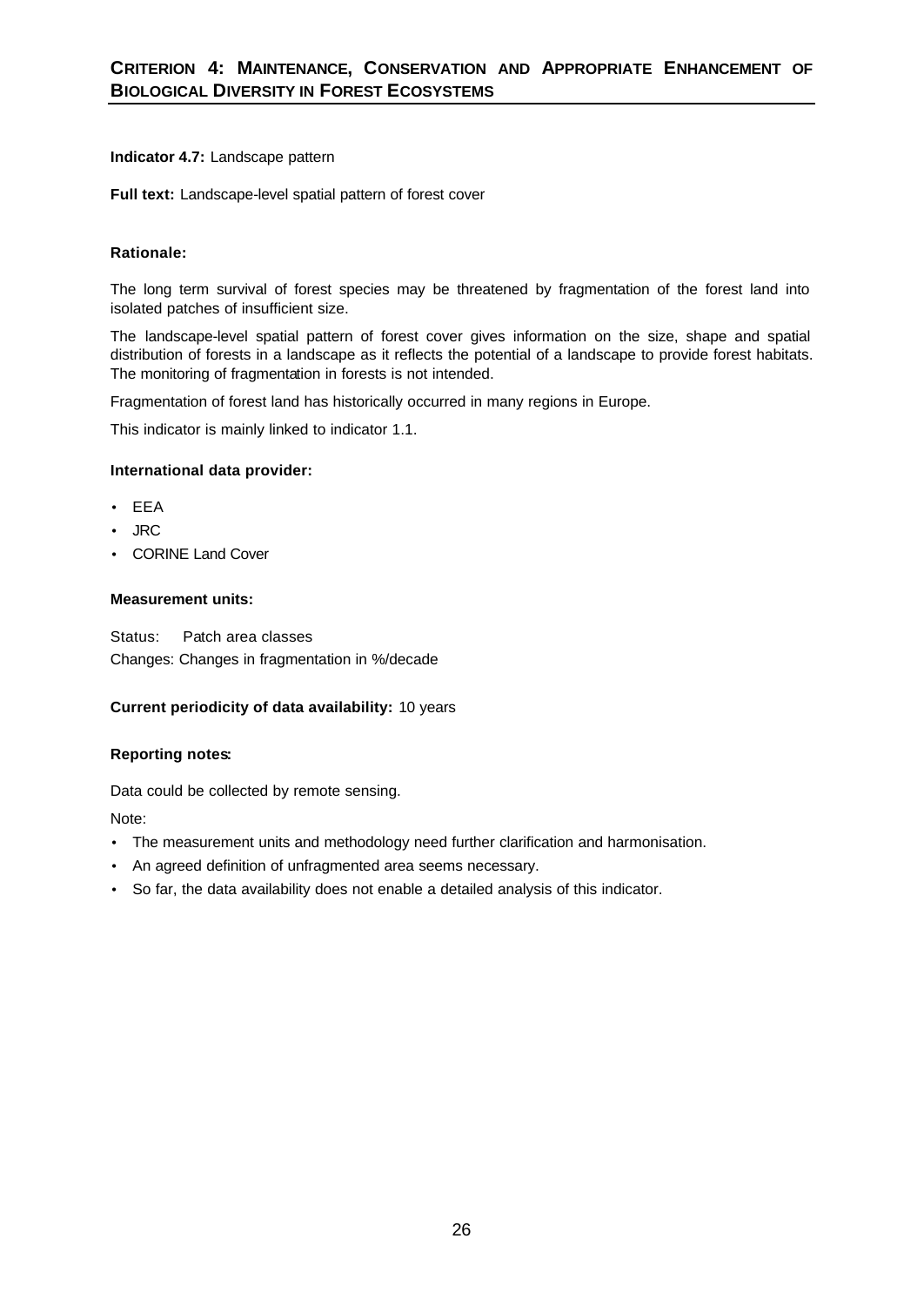# **Indicator 4.7:** Landscape pattern

**Full text:** Landscape-level spatial pattern of forest cover

# **Rationale:**

The long term survival of forest species may be threatened by fragmentation of the forest land into isolated patches of insufficient size.

The landscape-level spatial pattern of forest cover gives information on the size, shape and spatial distribution of forests in a landscape as it reflects the potential of a landscape to provide forest habitats. The monitoring of fragmentation in forests is not intended.

Fragmentation of forest land has historically occurred in many regions in Europe.

This indicator is mainly linked to indicator 1.1.

# **International data provider:**

- EEA
- JRC
- CORINE Land Cover

# **Measurement units:**

Status: Patch area classes Changes: Changes in fragmentation in %/decade

# **Current periodicity of data availability:** 10 years

# **Reporting notes:**

Data could be collected by remote sensing.

Note:

- The measurement units and methodology need further clarification and harmonisation.
- An agreed definition of unfragmented area seems necessary.
- So far, the data availability does not enable a detailed analysis of this indicator.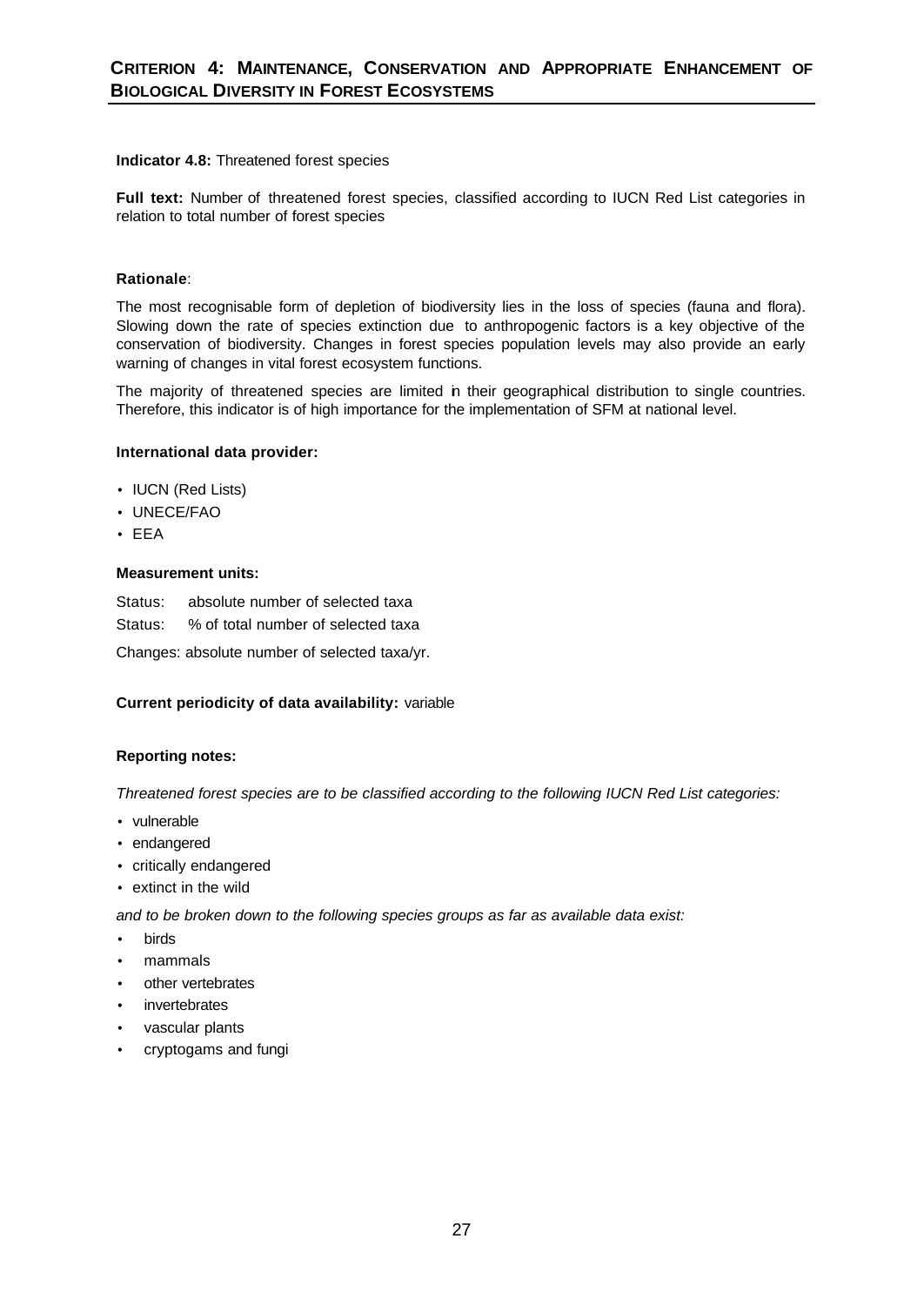# **Indicator 4.8:** Threatened forest species

**Full text:** Number of threatened forest species, classified according to IUCN Red List categories in relation to total number of forest species

# **Rationale**:

The most recognisable form of depletion of biodiversity lies in the loss of species (fauna and flora). Slowing down the rate of species extinction due to anthropogenic factors is a key objective of the conservation of biodiversity. Changes in forest species population levels may also provide an early warning of changes in vital forest ecosystem functions.

The majority of threatened species are limited in their geographical distribution to single countries. Therefore, this indicator is of high importance for the implementation of SFM at national level.

# **International data provider:**

- IUCN (Red Lists)
- UNECE/FAO
- EEA

#### **Measurement units:**

Status:absolute number of selected taxa Status:% of total number of selected taxa

Changes: absolute number of selected taxa/yr.

# **Current periodicity of data availability:** variable

# **Reporting notes:**

*Threatened forest species are to be classified according to the following IUCN Red List categories:*

- vulnerable
- endangered
- critically endangered
- extinct in the wild

*and to be broken down to the following species groups as far as available data exist:*

- birds
- mammals
- other vertebrates
- **invertebrates**
- vascular plants
- cryptogams and fungi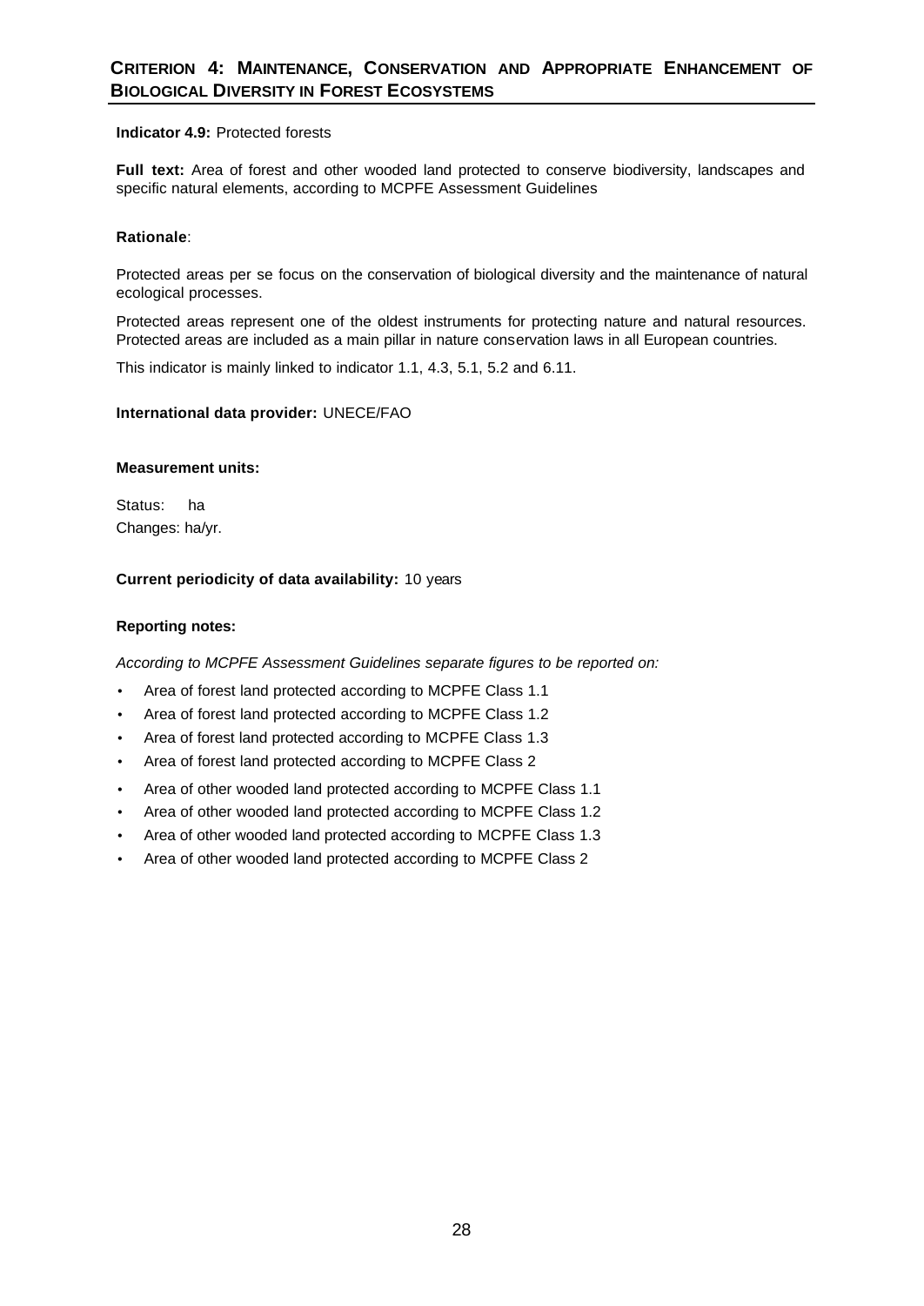# **Indicator 4.9:** Protected forests

**Full text:** Area of forest and other wooded land protected to conserve biodiversity, landscapes and specific natural elements, according to MCPFE Assessment Guidelines

# **Rationale**:

Protected areas per se focus on the conservation of biological diversity and the maintenance of natural ecological processes.

Protected areas represent one of the oldest instruments for protecting nature and natural resources. Protected areas are included as a main pillar in nature conservation laws in all European countries.

This indicator is mainly linked to indicator 1.1, 4.3, 5.1, 5.2 and 6.11.

# **International data provider:** UNECE/FAO

#### **Measurement units:**

Status: ha Changes: ha/yr.

# **Current periodicity of data availability:** 10 years

# **Reporting notes:**

*According to MCPFE Assessment Guidelines separate figures to be reported on:*

- Area of forest land protected according to MCPFE Class 1.1
- Area of forest land protected according to MCPFE Class 1.2
- Area of forest land protected according to MCPFE Class 1.3
- Area of forest land protected according to MCPFE Class 2
- Area of other wooded land protected according to MCPFE Class 1.1
- Area of other wooded land protected according to MCPFE Class 1.2
- Area of other wooded land protected according to MCPFE Class 1.3
- Area of other wooded land protected according to MCPFE Class 2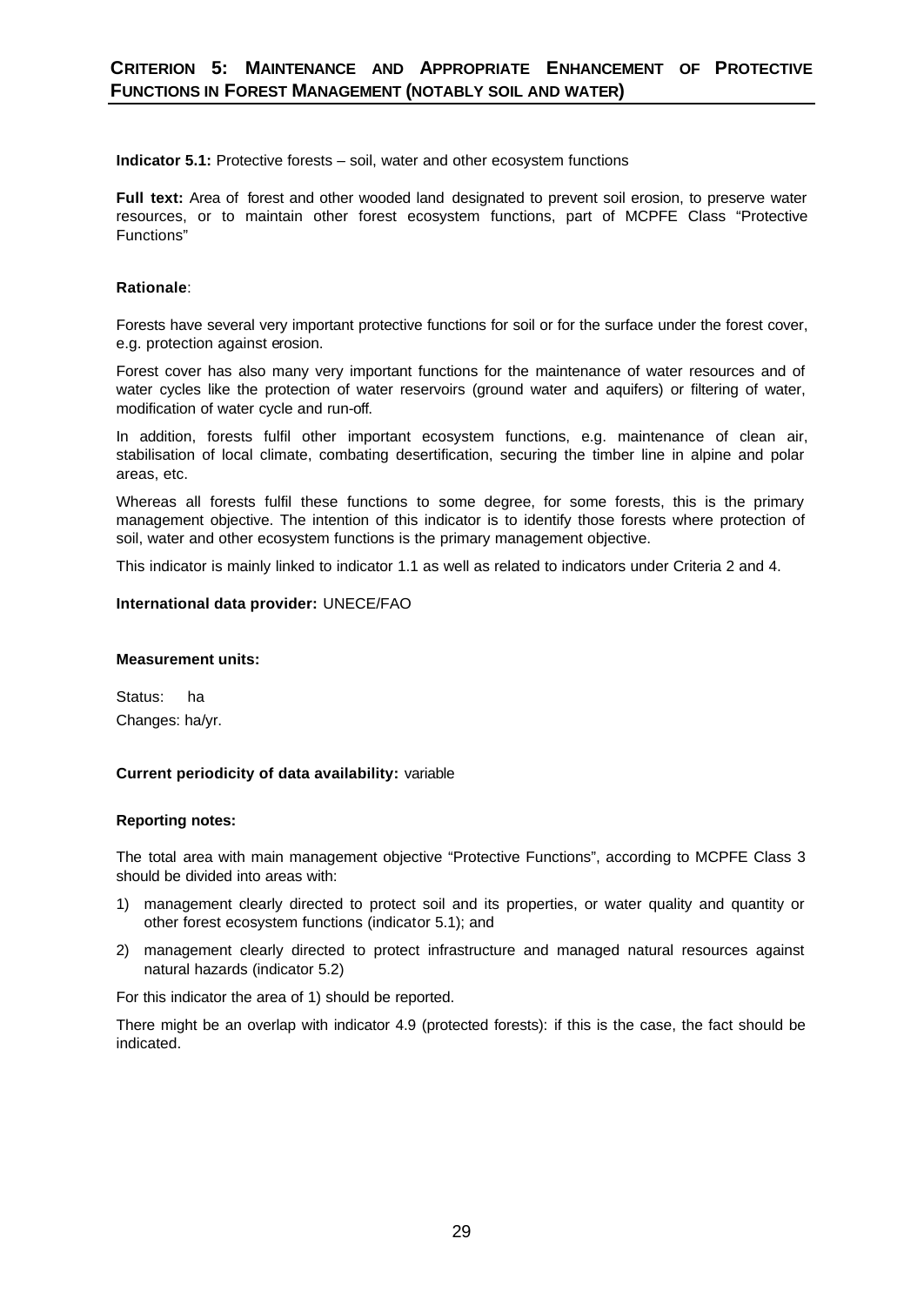**Indicator 5.1:** Protective forests – soil, water and other ecosystem functions

**Full text:** Area of forest and other wooded land designated to prevent soil erosion, to preserve water resources, or to maintain other forest ecosystem functions, part of MCPFE Class "Protective Functions"

# **Rationale**:

Forests have several very important protective functions for soil or for the surface under the forest cover, e.g. protection against erosion.

Forest cover has also many very important functions for the maintenance of water resources and of water cycles like the protection of water reservoirs (ground water and aquifers) or filtering of water, modification of water cycle and run-off.

In addition, forests fulfil other important ecosystem functions, e.g. maintenance of clean air, stabilisation of local climate, combating desertification, securing the timber line in alpine and polar areas, etc.

Whereas all forests fulfil these functions to some degree, for some forests, this is the primary management objective. The intention of this indicator is to identify those forests where protection of soil, water and other ecosystem functions is the primary management objective.

This indicator is mainly linked to indicator 1.1 as well as related to indicators under Criteria 2 and 4.

#### **International data provider:** UNECE/FAO

#### **Measurement units:**

Status: ha Changes: ha/yr.

#### **Current periodicity of data availability:** variable

#### **Reporting notes:**

The total area with main management objective "Protective Functions", according to MCPFE Class 3 should be divided into areas with:

- 1) management clearly directed to protect soil and its properties, or water quality and quantity or other forest ecosystem functions (indicator 5.1); and
- 2) management clearly directed to protect infrastructure and managed natural resources against natural hazards (indicator 5.2)

For this indicator the area of 1) should be reported.

There might be an overlap with indicator 4.9 (protected forests): if this is the case, the fact should be indicated.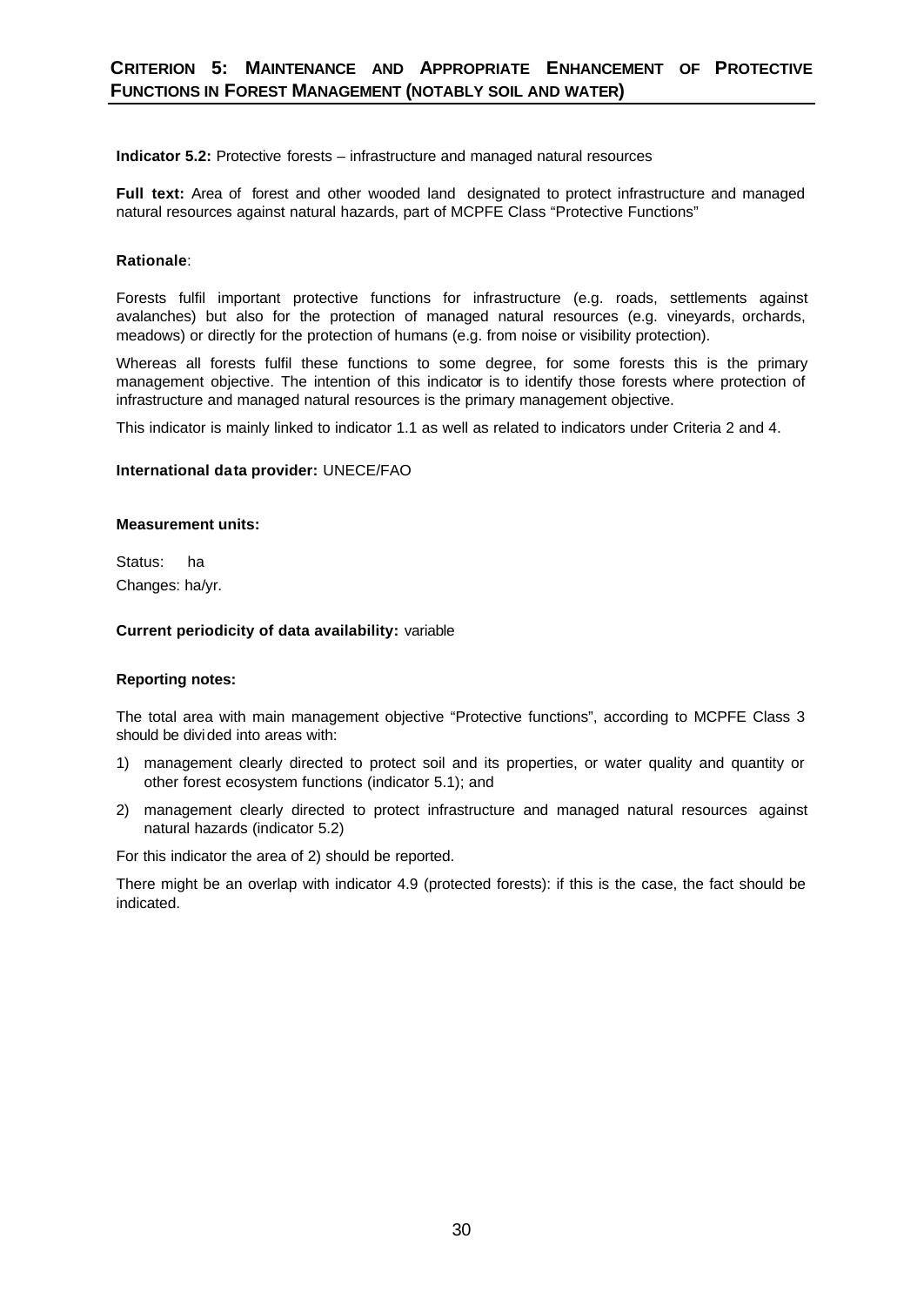**Indicator 5.2:** Protective forests – infrastructure and managed natural resources

**Full text:** Area of forest and other wooded land designated to protect infrastructure and managed natural resources against natural hazards, part of MCPFE Class "Protective Functions"

# **Rationale**:

Forests fulfil important protective functions for infrastructure (e.g. roads, settlements against avalanches) but also for the protection of managed natural resources (e.g. vineyards, orchards, meadows) or directly for the protection of humans (e.g. from noise or visibility protection).

Whereas all forests fulfil these functions to some degree, for some forests this is the primary management objective. The intention of this indicator is to identify those forests where protection of infrastructure and managed natural resources is the primary management objective.

This indicator is mainly linked to indicator 1.1 as well as related to indicators under Criteria 2 and 4.

#### **International data provider:** UNECE/FAO

#### **Measurement units:**

Status: ha Changes: ha/yr.

# **Current periodicity of data availability:** variable

#### **Reporting notes:**

The total area with main management objective "Protective functions", according to MCPFE Class 3 should be divided into areas with:

- 1) management clearly directed to protect soil and its properties, or water quality and quantity or other forest ecosystem functions (indicator 5.1); and
- 2) management clearly directed to protect infrastructure and managed natural resources against natural hazards (indicator 5.2)

For this indicator the area of 2) should be reported.

There might be an overlap with indicator 4.9 (protected forests): if this is the case, the fact should be indicated.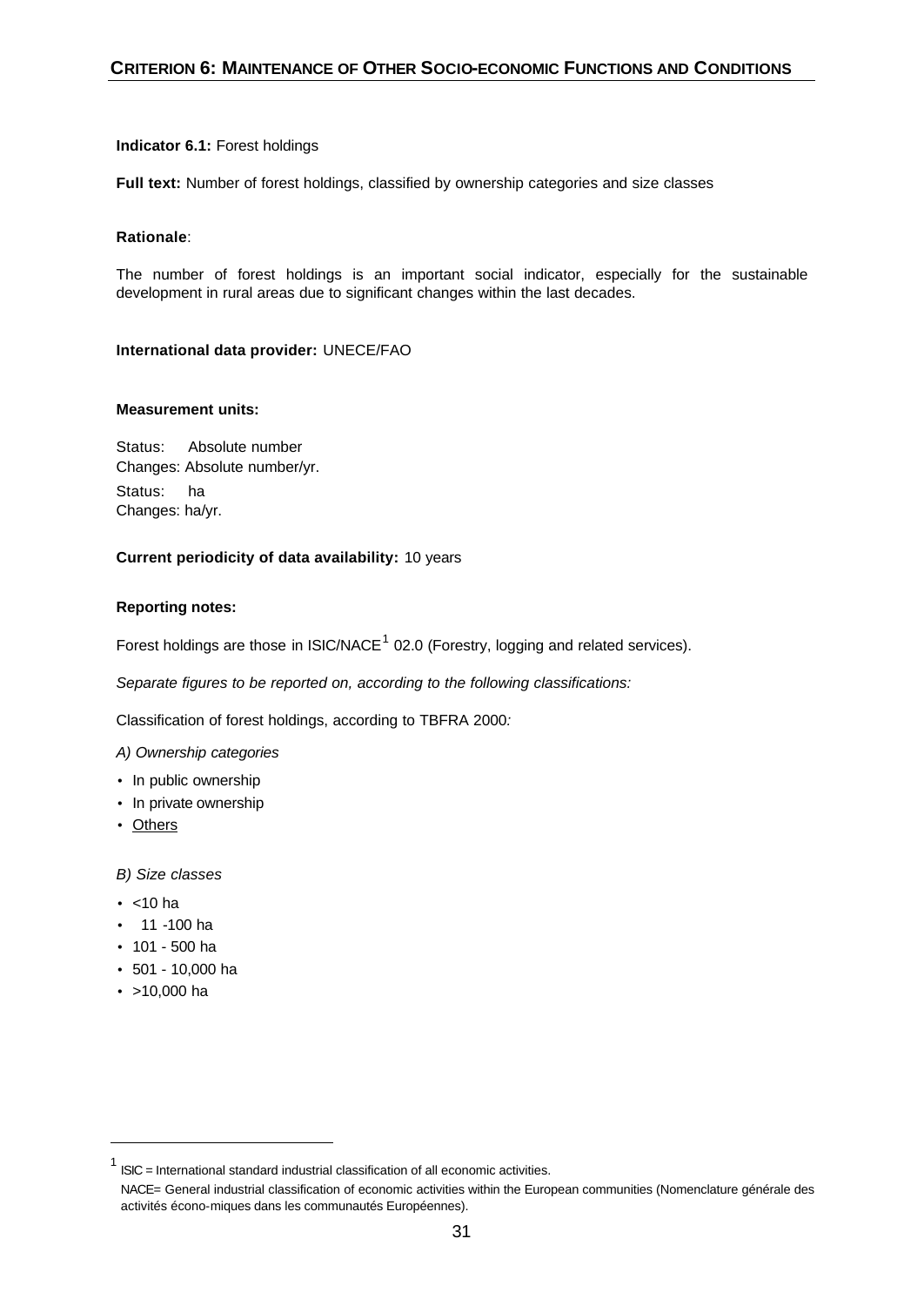# **Indicator 6.1:** Forest holdings

**Full text:** Number of forest holdings, classified by ownership categories and size classes

# **Rationale**:

The number of forest holdings is an important social indicator, especially for the sustainable development in rural areas due to significant changes within the last decades.

# **International data provider:** UNECE/FAO

#### **Measurement units:**

Status:Absolute number Changes: Absolute number/yr. Status:ha Changes: ha/yr.

# **Current periodicity of data availability:** 10 years

# **Reporting notes:**

Forest holdings are those in ISIC/NACE<sup>1</sup> 02.0 (Forestry, logging and related services).

*Separate figures to be reported on, according to the following classifications:*

Classification of forest holdings, according to TBFRA 2000*:* 

*A) Ownership categories*

- In public ownership
- In private ownership
- Others

*B) Size classes*

- $\bullet$  <10 ha
- 11 -100 ha
- 101 500 ha
- 501 10,000 ha
- >10,000 ha

 $1$  ISIC = International standard industrial classification of all economic activities.

NACE= General industrial classification of economic activities within the European communities (Nomenclature générale des activités écono-miques dans les communautés Européennes).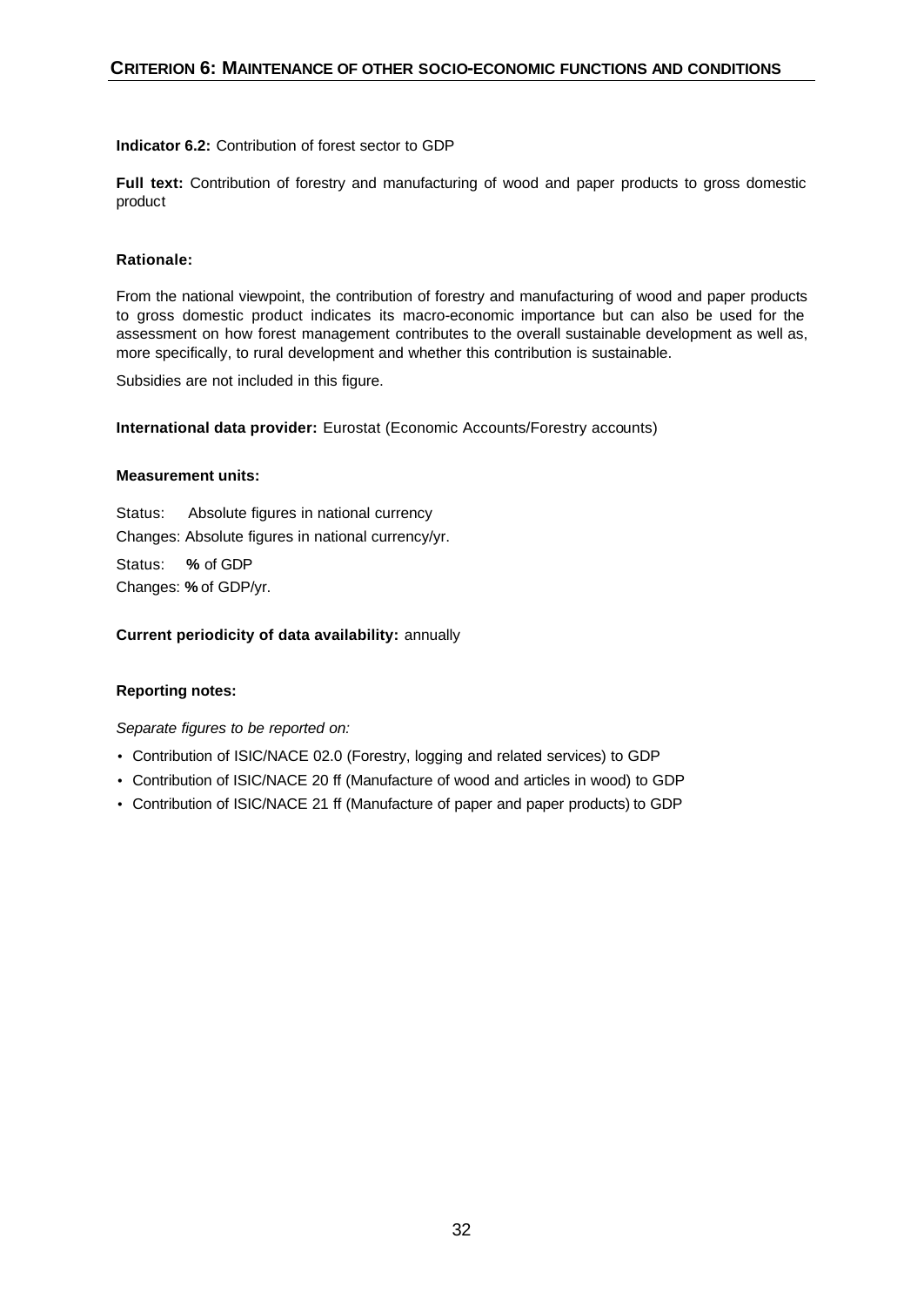# **Indicator 6.2:** Contribution of forest sector to GDP

**Full text:** Contribution of forestry and manufacturing of wood and paper products to gross domestic product

# **Rationale:**

From the national viewpoint, the contribution of forestry and manufacturing of wood and paper products to gross domestic product indicates its macro-economic importance but can also be used for the assessment on how forest management contributes to the overall sustainable development as well as, more specifically, to rural development and whether this contribution is sustainable.

Subsidies are not included in this figure.

**International data provider:** Eurostat (Economic Accounts/Forestry accounts)

# **Measurement units:**

Status:Absolute figures in national currency Changes: Absolute figures in national currency/yr. Status: **%** of GDP Changes: **%** of GDP/yr.

**Current periodicity of data availability:** annually

# **Reporting notes:**

- Contribution of ISIC/NACE 02.0 (Forestry, logging and related services) to GDP
- Contribution of ISIC/NACE 20 ff (Manufacture of wood and articles in wood) to GDP
- Contribution of ISIC/NACE 21 ff (Manufacture of paper and paper products) to GDP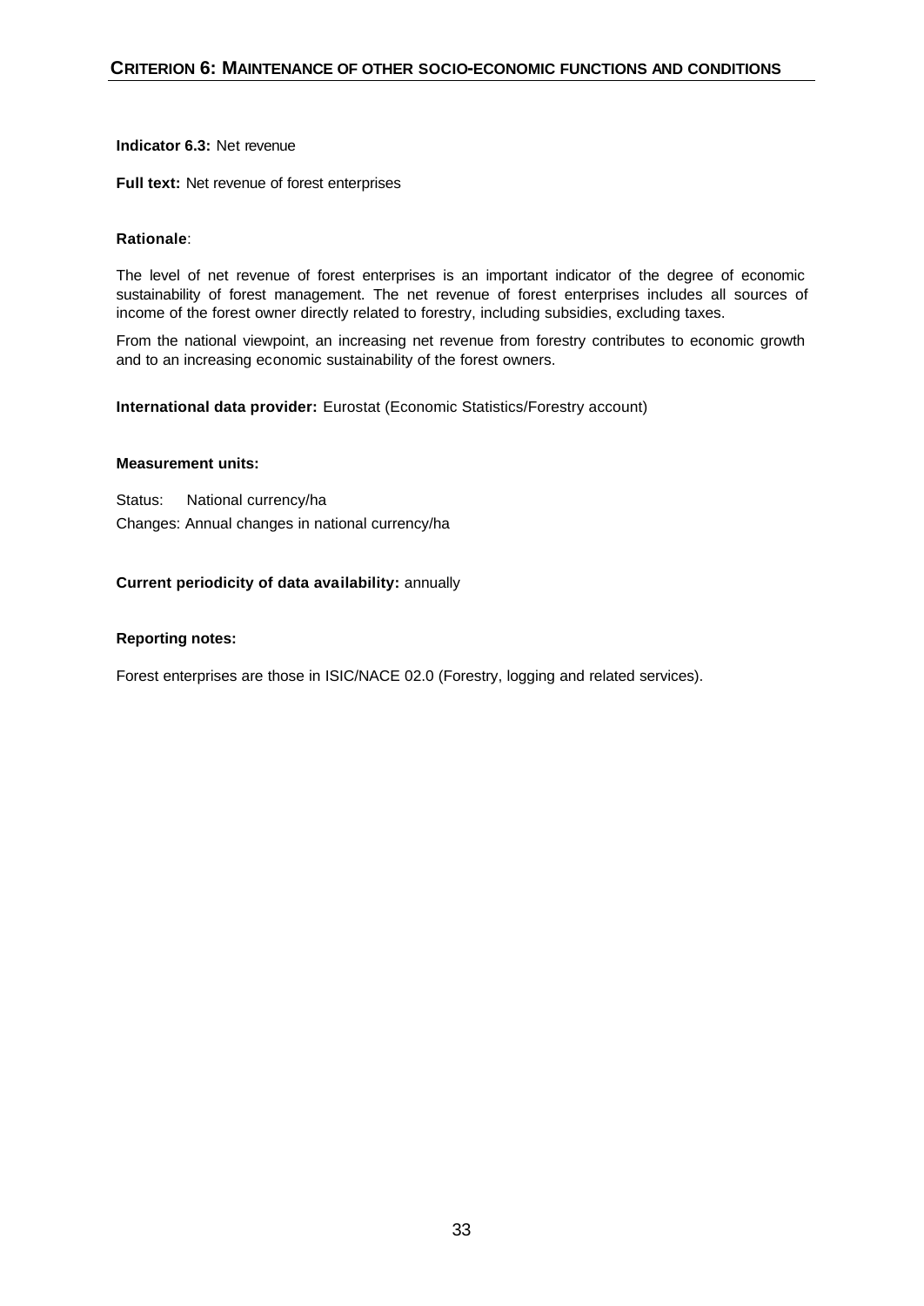# **Indicator 6.3:** Net revenue

**Full text:** Net revenue of forest enterprises

#### **Rationale**:

The level of net revenue of forest enterprises is an important indicator of the degree of economic sustainability of forest management. The net revenue of forest enterprises includes all sources of income of the forest owner directly related to forestry, including subsidies, excluding taxes.

From the national viewpoint, an increasing net revenue from forestry contributes to economic growth and to an increasing economic sustainability of the forest owners.

**International data provider:** Eurostat (Economic Statistics/Forestry account)

#### **Measurement units:**

Status: National currency/ha Changes: Annual changes in national currency/ha

#### **Current periodicity of data availability:** annually

#### **Reporting notes:**

Forest enterprises are those in ISIC/NACE 02.0 (Forestry, logging and related services).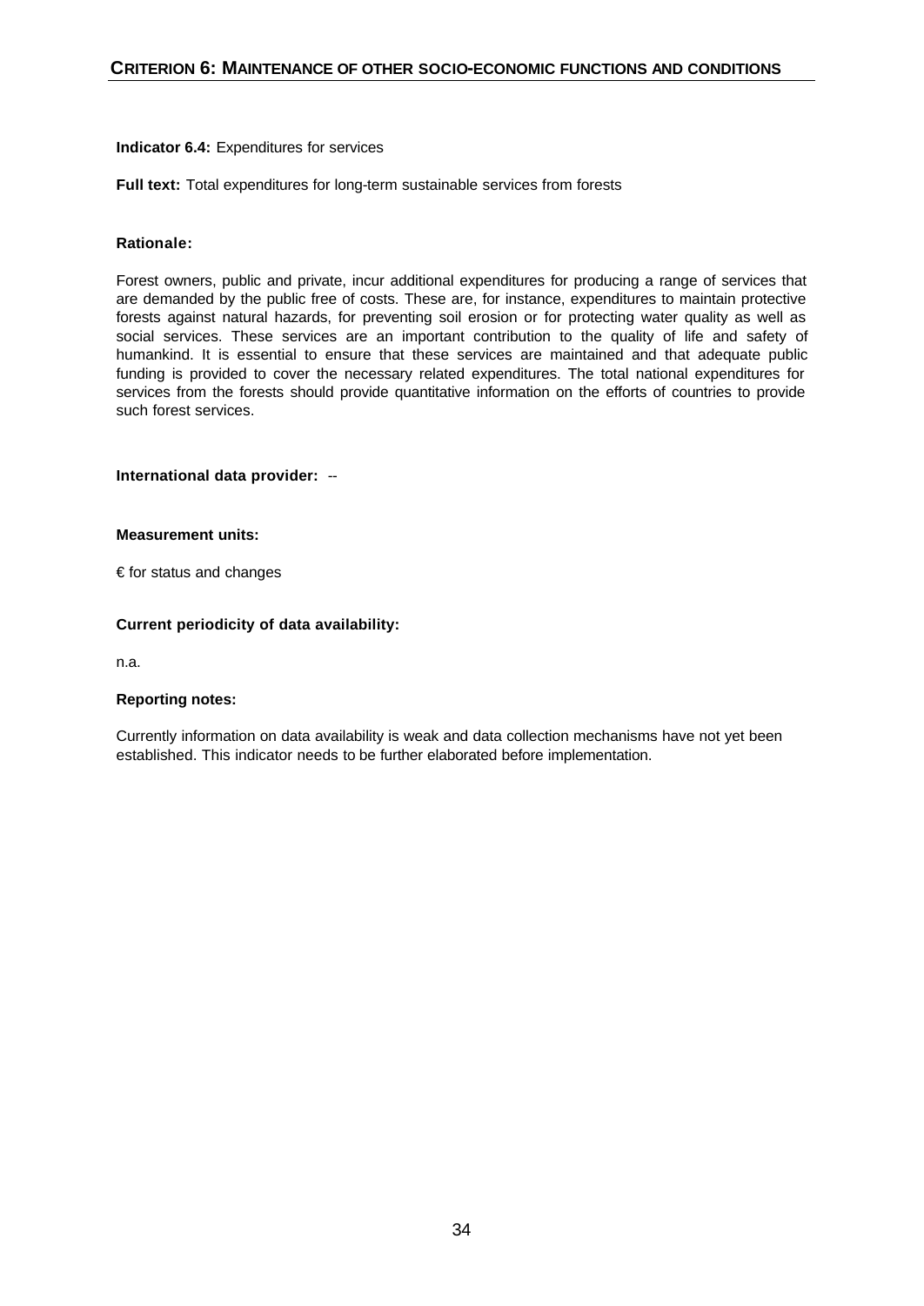#### **Indicator 6.4:** Expenditures for services

**Full text:** Total expenditures for long-term sustainable services from forests

# **Rationale:**

Forest owners, public and private, incur additional expenditures for producing a range of services that are demanded by the public free of costs. These are, for instance, expenditures to maintain protective forests against natural hazards, for preventing soil erosion or for protecting water quality as well as social services. These services are an important contribution to the quality of life and safety of humankind. It is essential to ensure that these services are maintained and that adequate public funding is provided to cover the necessary related expenditures. The total national expenditures for services from the forests should provide quantitative information on the efforts of countries to provide such forest services.

# **International data provider:** --

#### **Measurement units:**

€ for status and changes

# **Current periodicity of data availability:**

n.a.

#### **Reporting notes:**

Currently information on data availability is weak and data collection mechanisms have not yet been established. This indicator needs to be further elaborated before implementation.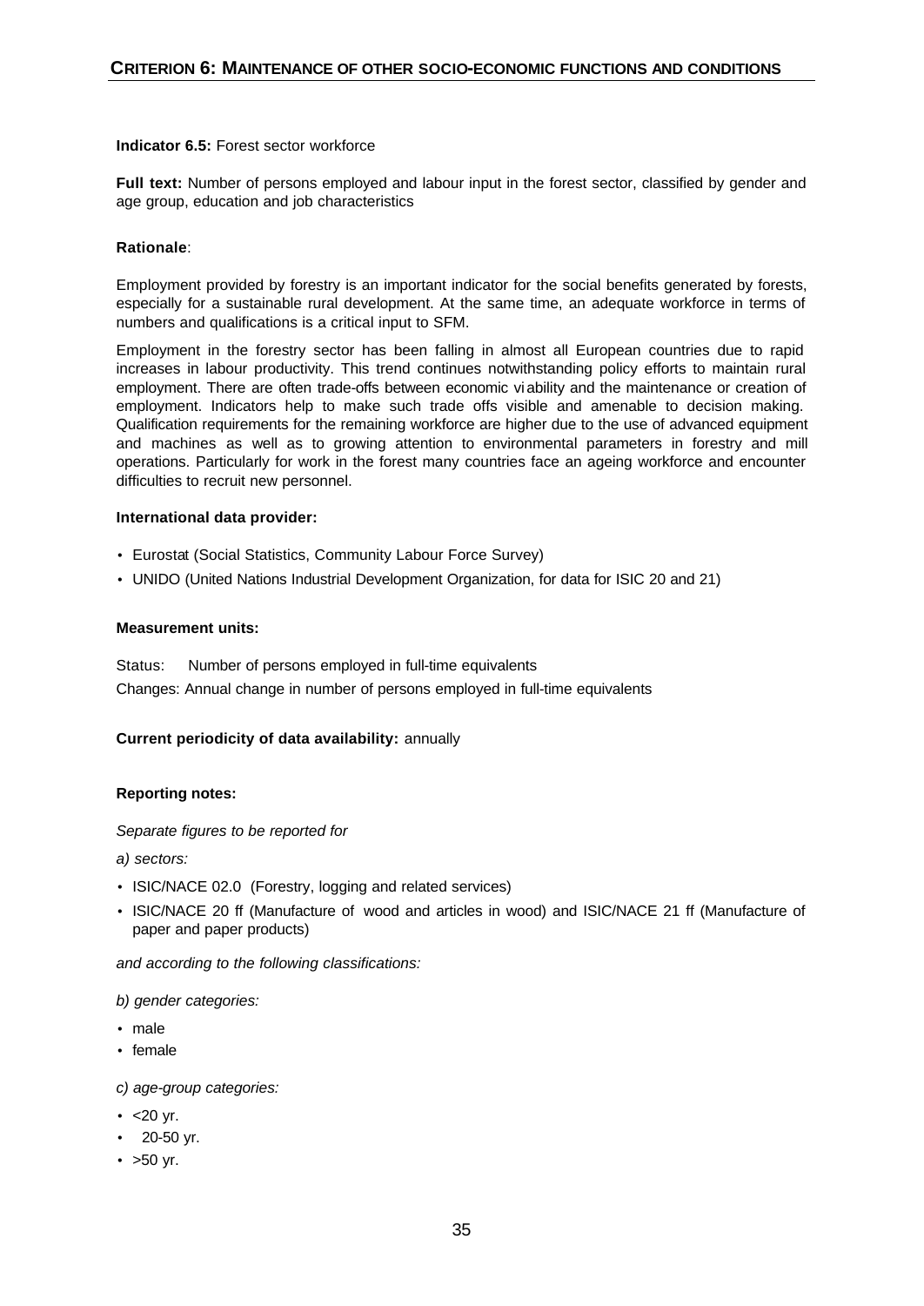#### **Indicator 6.5:** Forest sector workforce

**Full text:** Number of persons employed and labour input in the forest sector, classified by gender and age group, education and job characteristics

# **Rationale**:

Employment provided by forestry is an important indicator for the social benefits generated by forests, especially for a sustainable rural development. At the same time, an adequate workforce in terms of numbers and qualifications is a critical input to SFM.

Employment in the forestry sector has been falling in almost all European countries due to rapid increases in labour productivity. This trend continues notwithstanding policy efforts to maintain rural employment. There are often trade-offs between economic viability and the maintenance or creation of employment. Indicators help to make such trade offs visible and amenable to decision making. Qualification requirements for the remaining workforce are higher due to the use of advanced equipment and machines as well as to growing attention to environmental parameters in forestry and mill operations. Particularly for work in the forest many countries face an ageing workforce and encounter difficulties to recruit new personnel.

#### **International data provider:**

- Eurostat (Social Statistics, Community Labour Force Survey)
- UNIDO (United Nations Industrial Development Organization, for data for ISIC 20 and 21)

#### **Measurement units:**

Status: Number of persons employed in full-time equivalents Changes: Annual change in number of persons employed in full-time equivalents

# **Current periodicity of data availability:** annually

# **Reporting notes:**

#### *Separate figures to be reported for*

*a) sectors:* 

- ISIC/NACE 02.0 (Forestry, logging and related services)
- ISIC/NACE 20 ff (Manufacture of wood and articles in wood) and ISIC/NACE 21 ff (Manufacture of paper and paper products)

*and according to the following classifications:*

#### *b) gender categories:*

- male
- female
- *c) age-group categories:*
- $\cdot$  <20 yr.
- 20-50 yr.
- $\bullet$  >50 yr.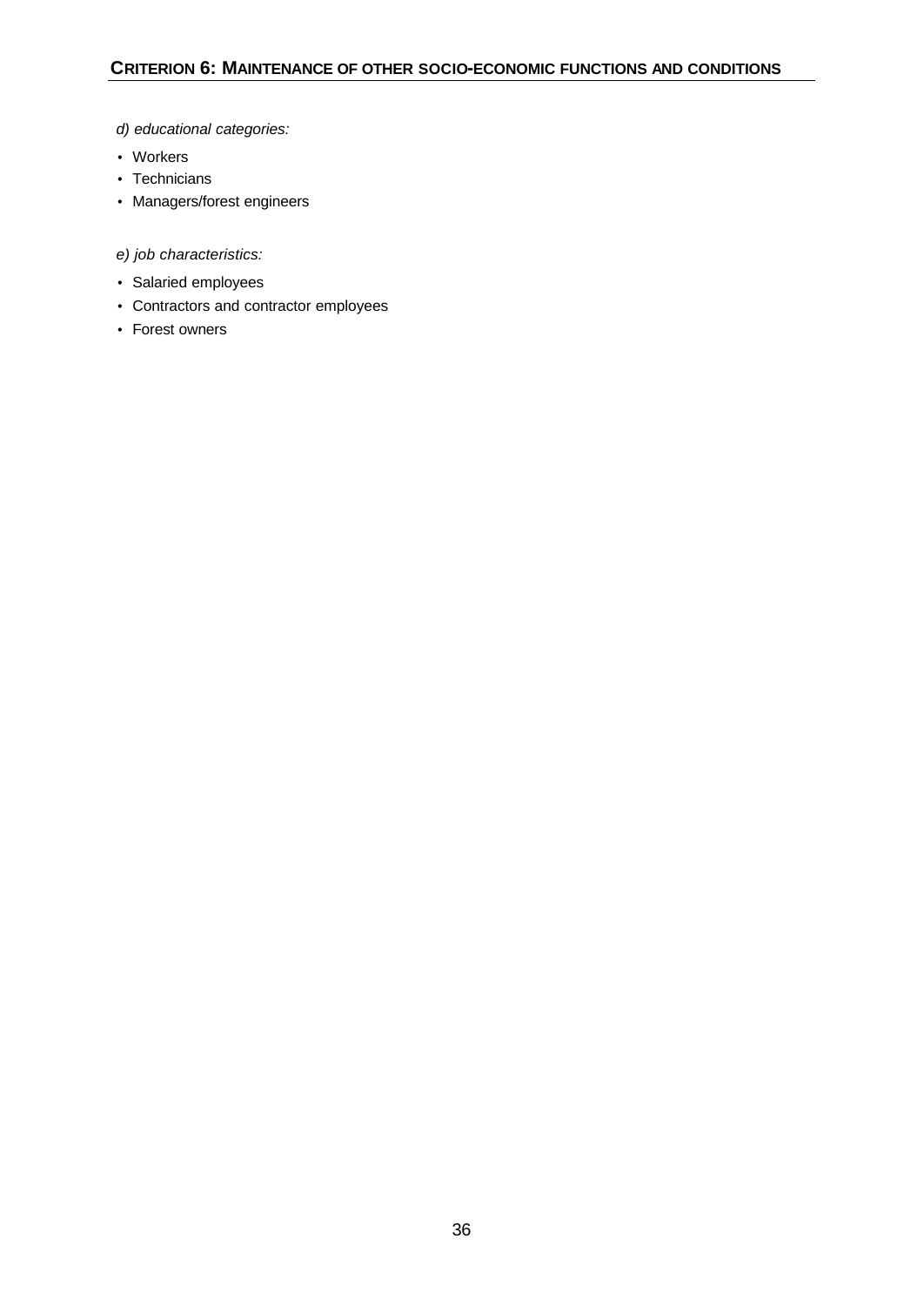# *d) educational categories:*

- Workers
- Technicians
- Managers/forest engineers

*e) job characteristics:*

- Salaried employees
- Contractors and contractor employees
- Forest owners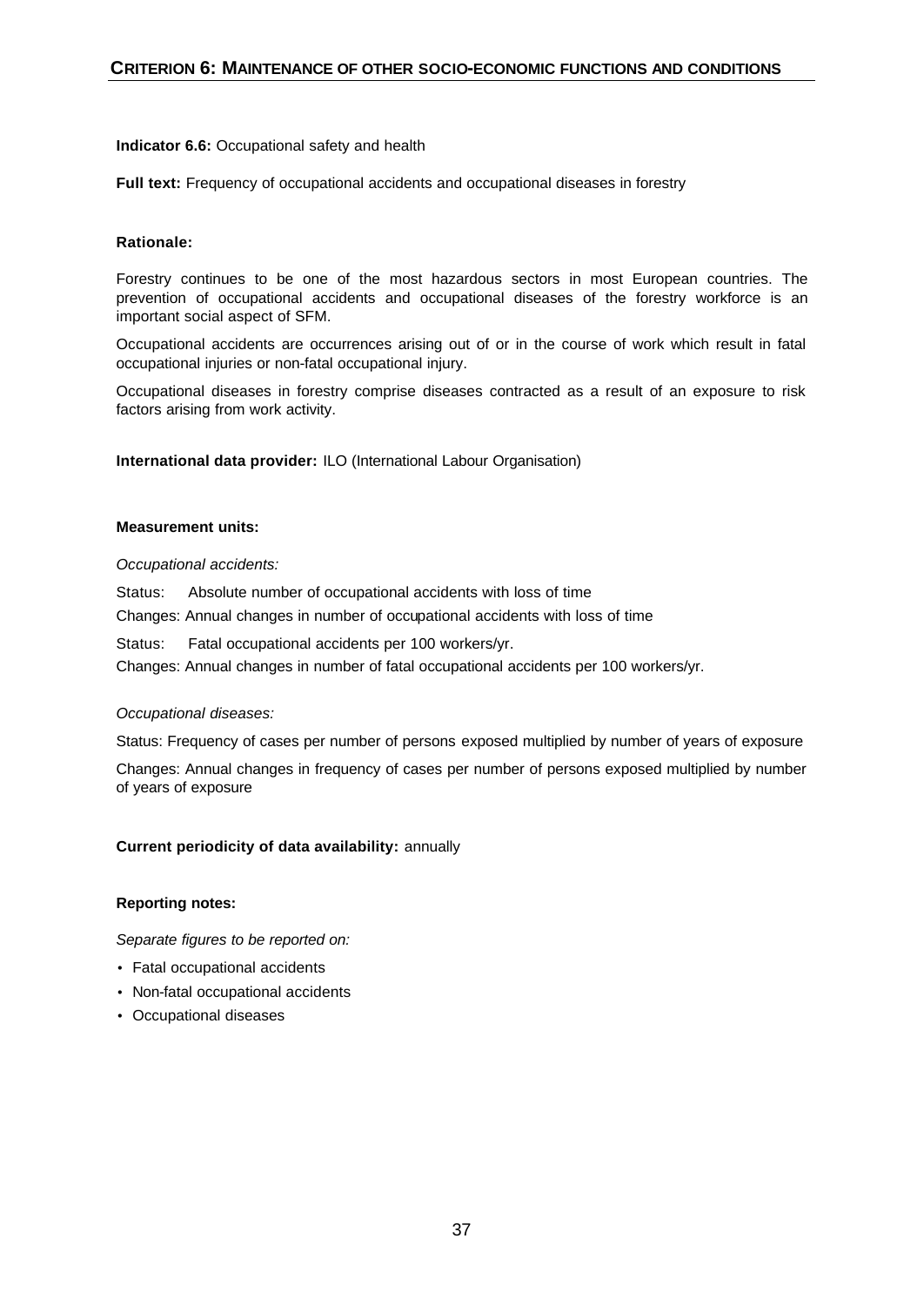# **Indicator 6.6:** Occupational safety and health

**Full text:** Frequency of occupational accidents and occupational diseases in forestry

# **Rationale:**

Forestry continues to be one of the most hazardous sectors in most European countries. The prevention of occupational accidents and occupational diseases of the forestry workforce is an important social aspect of SFM.

Occupational accidents are occurrences arising out of or in the course of work which result in fatal occupational injuries or non-fatal occupational injury.

Occupational diseases in forestry comprise diseases contracted as a result of an exposure to risk factors arising from work activity.

**International data provider:** ILO (International Labour Organisation)

#### **Measurement units:**

#### *Occupational accidents:*

Status:Absolute number of occupational accidents with loss of time

Changes: Annual changes in number of occupational accidents with loss of time

Status:Fatal occupational accidents per 100 workers/yr.

Changes: Annual changes in number of fatal occupational accidents per 100 workers/yr.

#### *Occupational diseases:*

Status: Frequency of cases per number of persons exposed multiplied by number of years of exposure

Changes: Annual changes in frequency of cases per number of persons exposed multiplied by number of years of exposure

#### **Current periodicity of data availability:** annually

#### **Reporting notes:**

- Fatal occupational accidents
- Non-fatal occupational accidents
- Occupational diseases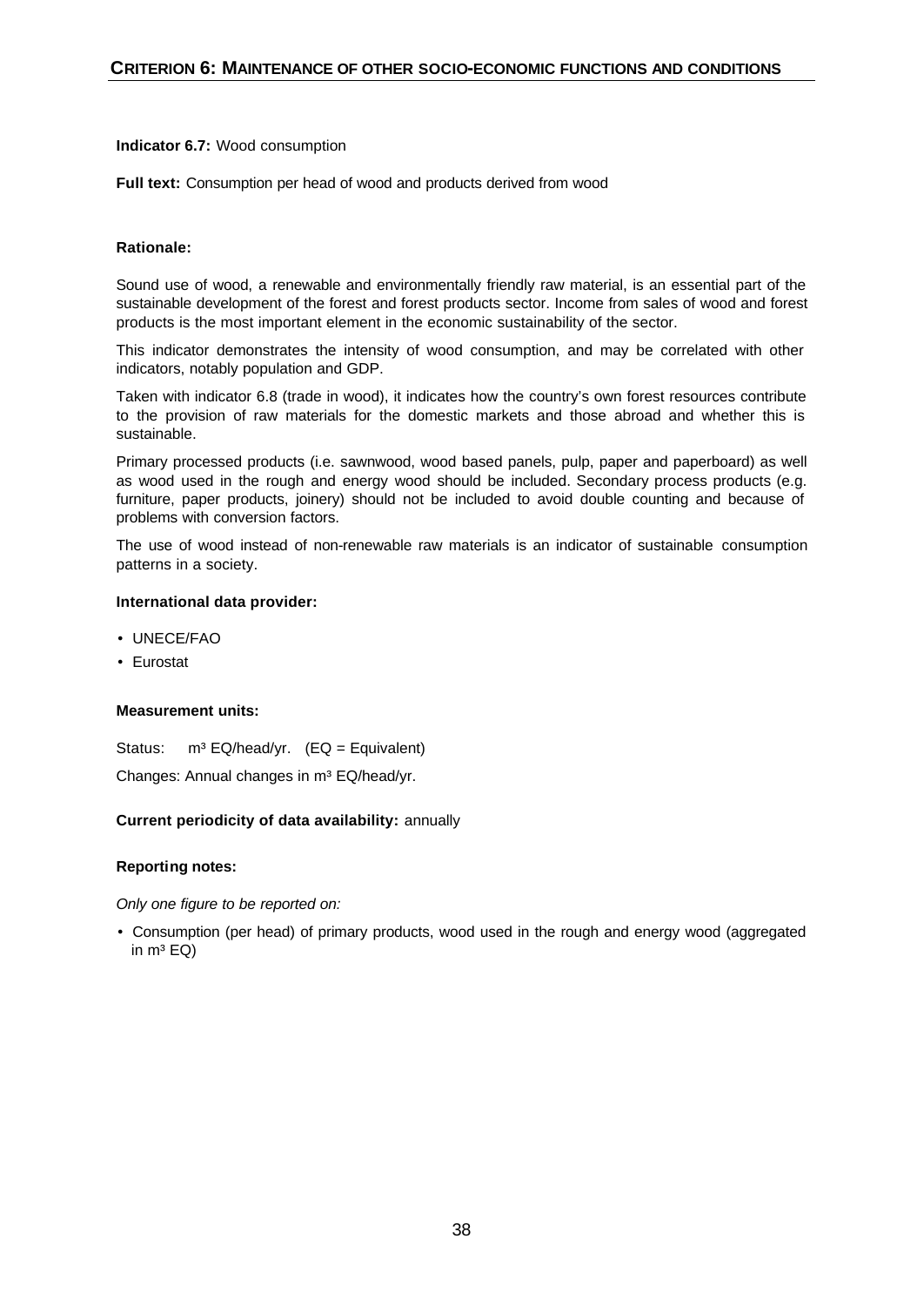**Indicator 6.7:** Wood consumption

Full text: Consumption per head of wood and products derived from wood

# **Rationale:**

Sound use of wood, a renewable and environmentally friendly raw material, is an essential part of the sustainable development of the forest and forest products sector. Income from sales of wood and forest products is the most important element in the economic sustainability of the sector.

This indicator demonstrates the intensity of wood consumption, and may be correlated with other indicators, notably population and GDP.

Taken with indicator 6.8 (trade in wood), it indicates how the country's own forest resources contribute to the provision of raw materials for the domestic markets and those abroad and whether this is sustainable.

Primary processed products (i.e. sawnwood, wood based panels, pulp, paper and paperboard) as well as wood used in the rough and energy wood should be included. Secondary process products (e.g. furniture, paper products, joinery) should not be included to avoid double counting and because of problems with conversion factors.

The use of wood instead of non-renewable raw materials is an indicator of sustainable consumption patterns in a society.

# **International data provider:**

- UNECE/FAO
- Eurostat

#### **Measurement units:**

Status:  $m^3$  EQ/head/yr. (EQ = Equivalent)

Changes: Annual changes in m<sup>3</sup> EQ/head/yr.

#### **Current periodicity of data availability:** annually

#### **Reporting notes:**

*Only one figure to be reported on:*

• Consumption (per head) of primary products, wood used in the rough and energy wood (aggregated in  $m^3$  EQ)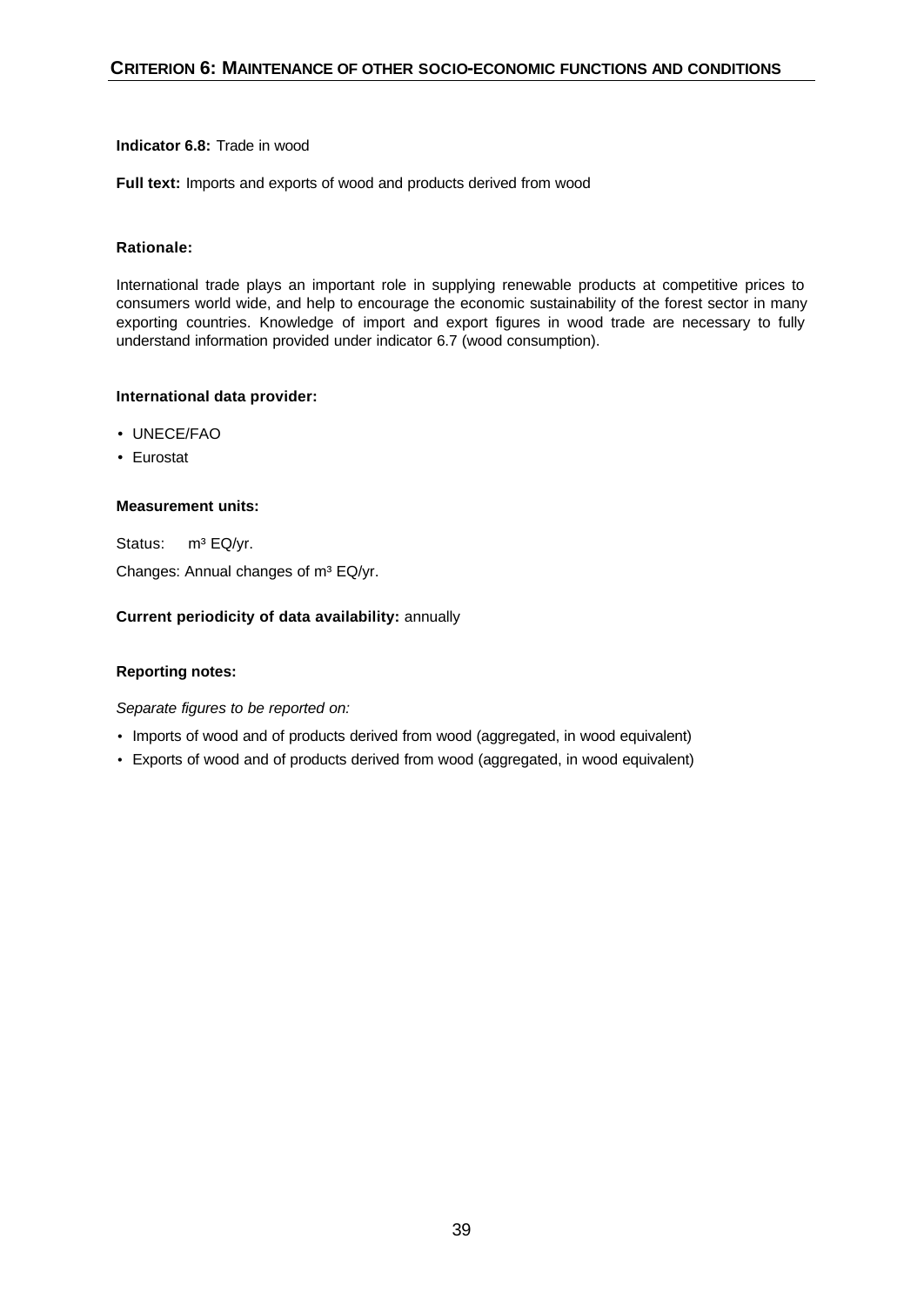# **Indicator 6.8:** Trade in wood

**Full text:** Imports and exports of wood and products derived from wood

# **Rationale:**

International trade plays an important role in supplying renewable products at competitive prices to consumers world wide, and help to encourage the economic sustainability of the forest sector in many exporting countries. Knowledge of import and export figures in wood trade are necessary to fully understand information provided under indicator 6.7 (wood consumption).

# **International data provider:**

- UNECE/FAO
- Eurostat

# **Measurement units:**

Status: m<sup>3</sup> EQ/yr. Changes: Annual changes of m<sup>3</sup> EQ/yr.

# **Current periodicity of data availability:** annually

# **Reporting notes:**

- Imports of wood and of products derived from wood (aggregated, in wood equivalent)
- Exports of wood and of products derived from wood (aggregated, in wood equivalent)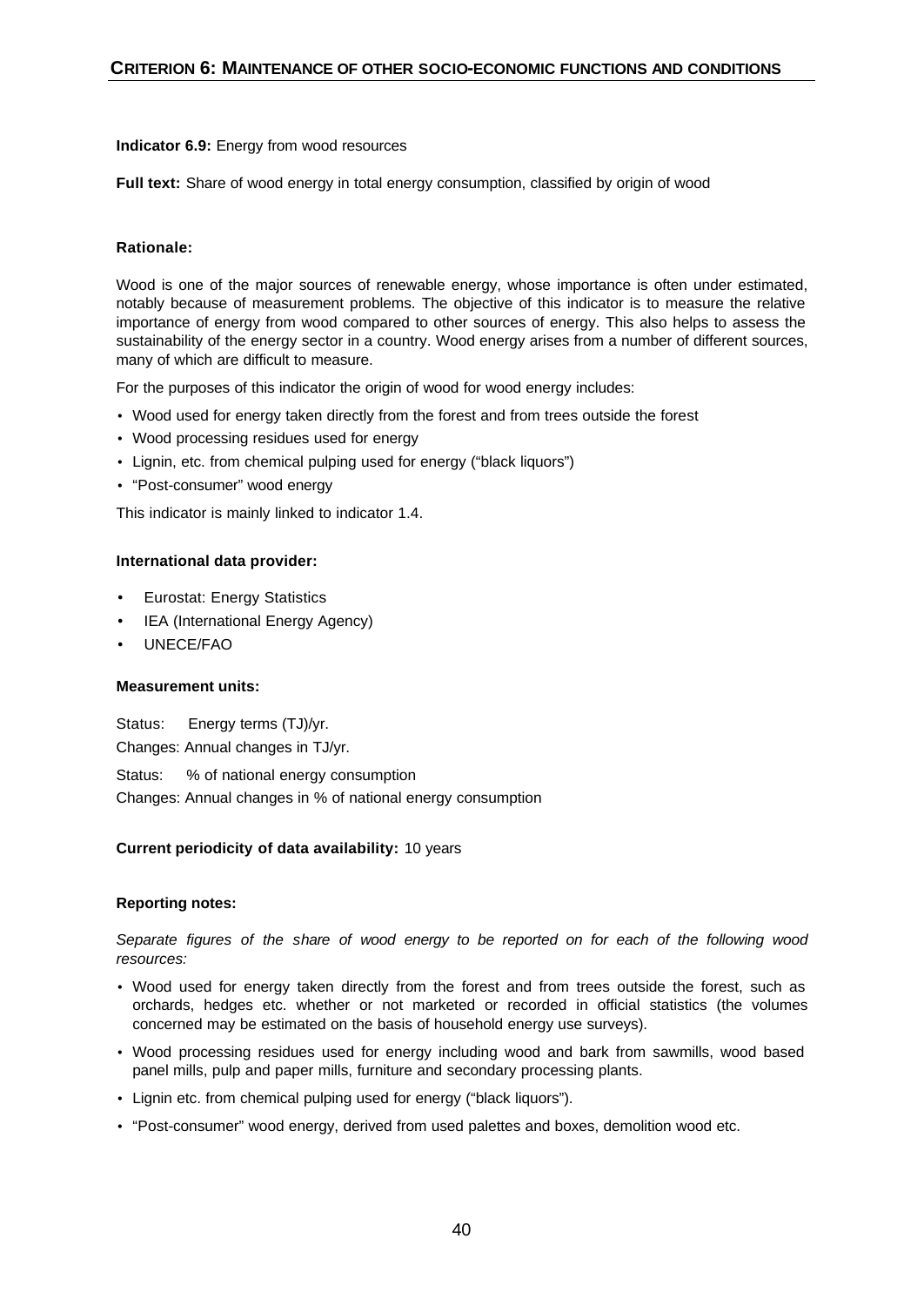#### **Indicator 6.9:** Energy from wood resources

**Full text:** Share of wood energy in total energy consumption, classified by origin of wood

# **Rationale:**

Wood is one of the major sources of renewable energy, whose importance is often under estimated, notably because of measurement problems. The objective of this indicator is to measure the relative importance of energy from wood compared to other sources of energy. This also helps to assess the sustainability of the energy sector in a country. Wood energy arises from a number of different sources, many of which are difficult to measure.

For the purposes of this indicator the origin of wood for wood energy includes:

- Wood used for energy taken directly from the forest and from trees outside the forest
- Wood processing residues used for energy
- Lignin, etc. from chemical pulping used for energy ("black liquors")
- "Post-consumer" wood energy

This indicator is mainly linked to indicator 1.4.

#### **International data provider:**

- Eurostat: Energy Statistics
- IEA (International Energy Agency)
- UNECE/FAO

#### **Measurement units:**

Status:Energy terms (TJ)/yr. Changes: Annual changes in TJ/yr.

Status: % of national energy consumption Changes: Annual changes in % of national energy consumption

#### **Current periodicity of data availability:** 10 years

#### **Reporting notes:**

*Separate figures of the share of wood energy to be reported on for each of the following wood resources:*

- Wood used for energy taken directly from the forest and from trees outside the forest, such as orchards, hedges etc. whether or not marketed or recorded in official statistics (the volumes concerned may be estimated on the basis of household energy use surveys).
- Wood processing residues used for energy including wood and bark from sawmills, wood based panel mills, pulp and paper mills, furniture and secondary processing plants.
- Lignin etc. from chemical pulping used for energy ("black liquors").
- "Post-consumer" wood energy, derived from used palettes and boxes, demolition wood etc.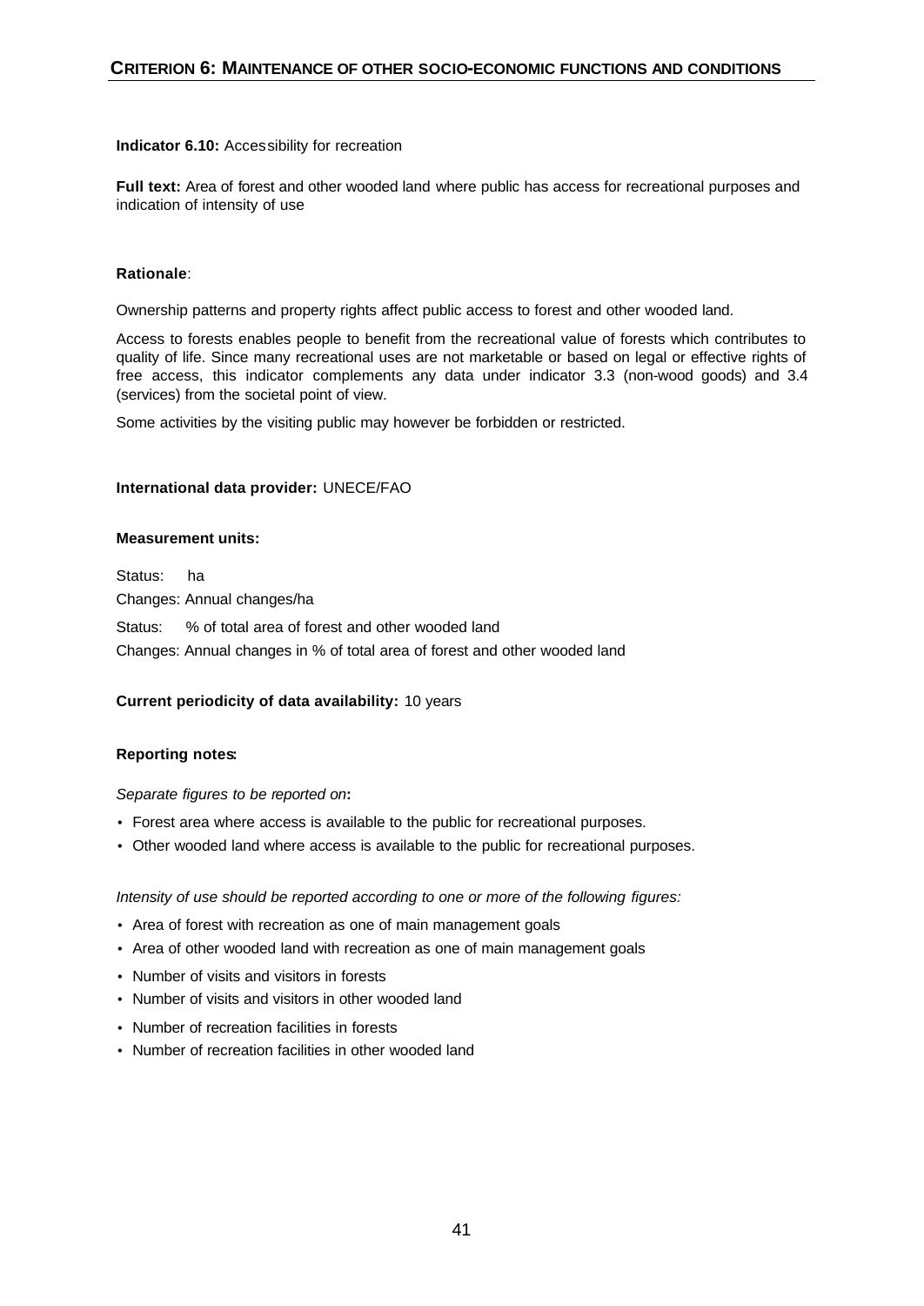#### **Indicator 6.10:** Accessibility for recreation

**Full text:** Area of forest and other wooded land where public has access for recreational purposes and indication of intensity of use

# **Rationale**:

Ownership patterns and property rights affect public access to forest and other wooded land.

Access to forests enables people to benefit from the recreational value of forests which contributes to quality of life. Since many recreational uses are not marketable or based on legal or effective rights of free access, this indicator complements any data under indicator 3.3 (non-wood goods) and 3.4 (services) from the societal point of view.

Some activities by the visiting public may however be forbidden or restricted.

#### **International data provider:** UNECE/FAO

#### **Measurement units:**

Status: ha Changes: Annual changes/ha

Status: % of total area of forest and other wooded land

Changes: Annual changes in % of total area of forest and other wooded land

#### **Current periodicity of data availability:** 10 years

#### **Reporting notes:**

*Separate figures to be reported on***:** 

- Forest area where access is available to the public for recreational purposes.
- Other wooded land where access is available to the public for recreational purposes.

*Intensity of use should be reported according to one or more of the following figures:*

- Area of forest with recreation as one of main management goals
- Area of other wooded land with recreation as one of main management goals
- Number of visits and visitors in forests
- Number of visits and visitors in other wooded land
- Number of recreation facilities in forests
- Number of recreation facilities in other wooded land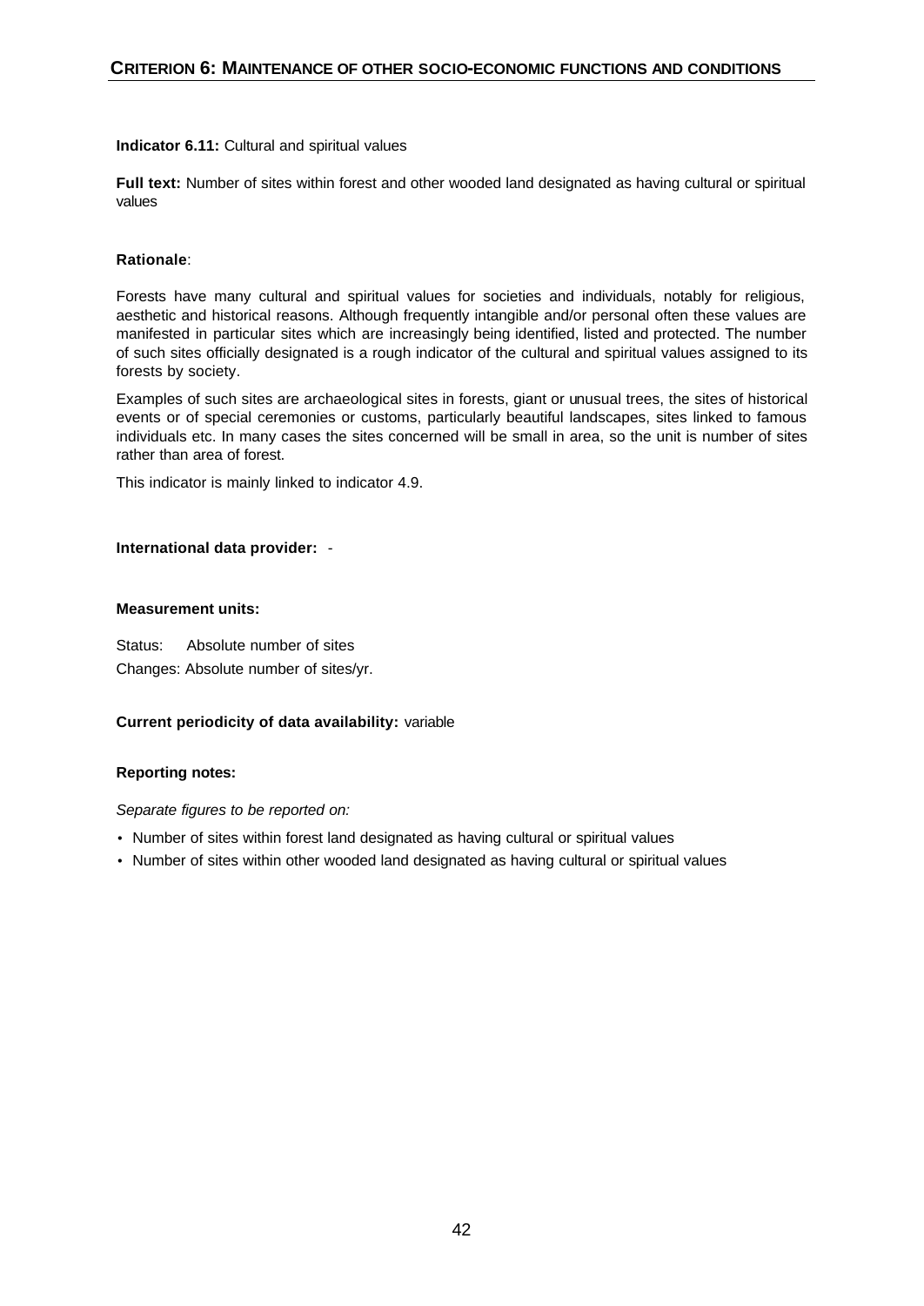# **Indicator 6.11:** Cultural and spiritual values

**Full text:** Number of sites within forest and other wooded land designated as having cultural or spiritual values

# **Rationale**:

Forests have many cultural and spiritual values for societies and individuals, notably for religious, aesthetic and historical reasons. Although frequently intangible and/or personal often these values are manifested in particular sites which are increasingly being identified, listed and protected. The number of such sites officially designated is a rough indicator of the cultural and spiritual values assigned to its forests by society.

Examples of such sites are archaeological sites in forests, giant or unusual trees, the sites of historical events or of special ceremonies or customs, particularly beautiful landscapes, sites linked to famous individuals etc. In many cases the sites concerned will be small in area, so the unit is number of sites rather than area of forest.

This indicator is mainly linked to indicator 4.9.

# **International data provider:** -

# **Measurement units:**

Status: Absolute number of sites Changes: Absolute number of sites/yr.

# **Current periodicity of data availability:** variable

# **Reporting notes:**

- Number of sites within forest land designated as having cultural or spiritual values
- Number of sites within other wooded land designated as having cultural or spiritual values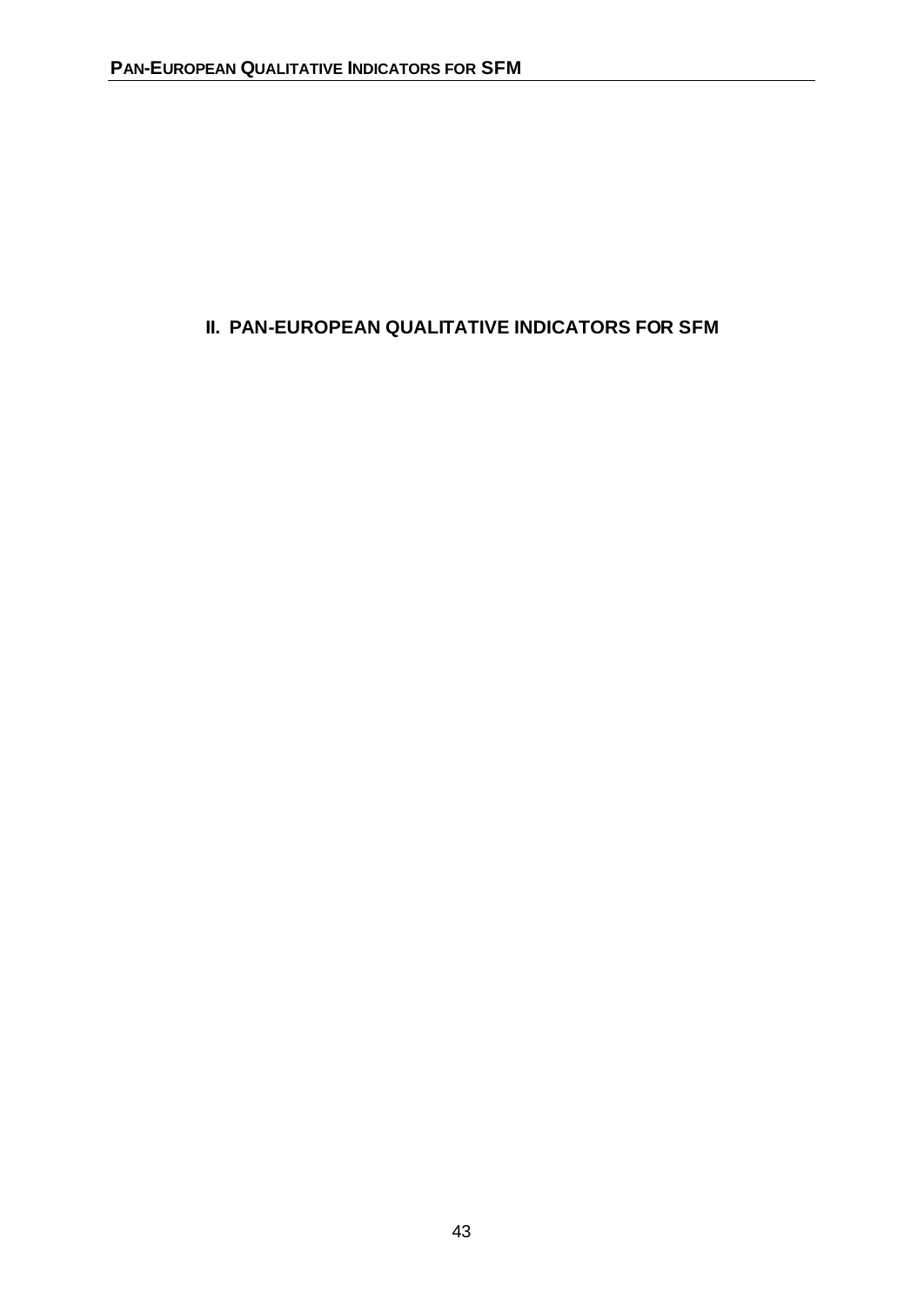# **II. PAN-EUROPEAN QUALITATIVE INDICATORS FOR SFM**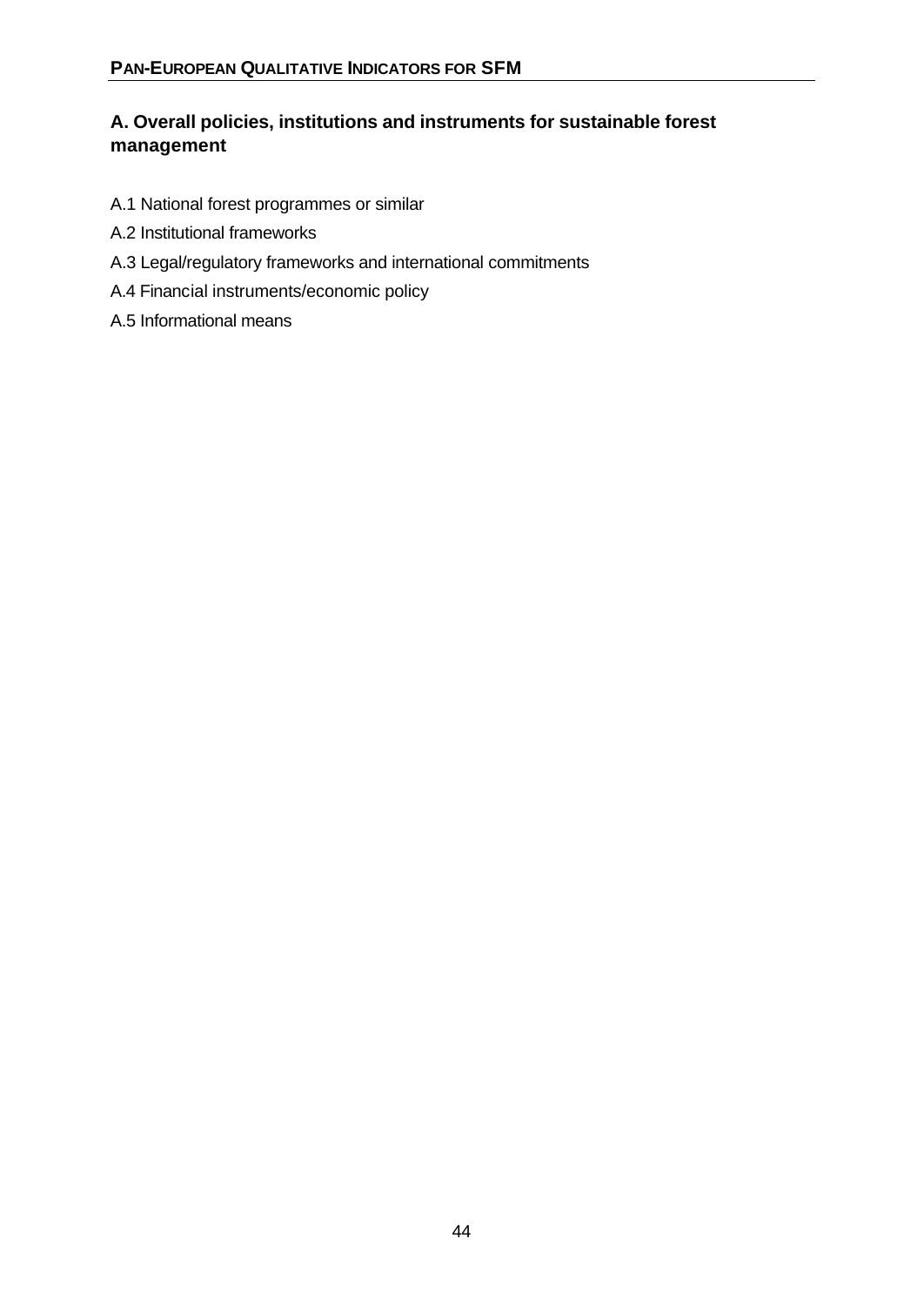# **A. Overall policies, institutions and instruments for sustainable forest management**

- A.1 National forest programmes or similar
- A.2 Institutional frameworks
- A.3 Legal/regulatory frameworks and international commitments
- A.4 Financial instruments/economic policy
- A.5 Informational means